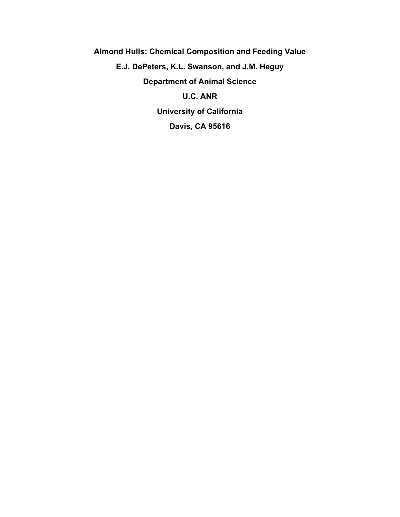**Almond Hulls: Chemical Composition and Feeding Value E.J. DePeters, K.L. Swanson, and J.M. Heguy Department of Animal Science U.C. ANR University of California Davis, CA 95616**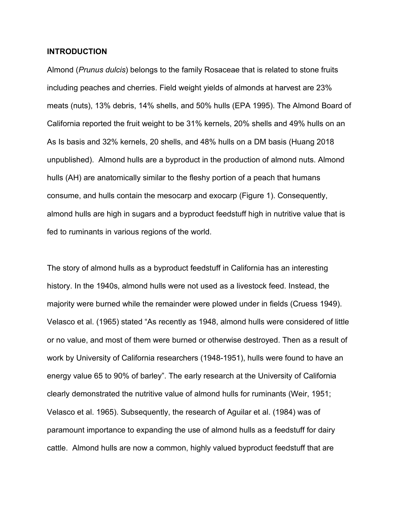### **INTRODUCTION**

Almond (*Prunus dulcis*) belongs to the family Rosaceae that is related to stone fruits including peaches and cherries. Field weight yields of almonds at harvest are 23% meats (nuts), 13% debris, 14% shells, and 50% hulls (EPA 1995). The Almond Board of California reported the fruit weight to be 31% kernels, 20% shells and 49% hulls on an As Is basis and 32% kernels, 20 shells, and 48% hulls on a DM basis (Huang 2018 unpublished). Almond hulls are a byproduct in the production of almond nuts. Almond hulls (AH) are anatomically similar to the fleshy portion of a peach that humans consume, and hulls contain the mesocarp and exocarp (Figure 1). Consequently, almond hulls are high in sugars and a byproduct feedstuff high in nutritive value that is fed to ruminants in various regions of the world.

The story of almond hulls as a byproduct feedstuff in California has an interesting history. In the 1940s, almond hulls were not used as a livestock feed. Instead, the majority were burned while the remainder were plowed under in fields (Cruess 1949). Velasco et al. (1965) stated "As recently as 1948, almond hulls were considered of little or no value, and most of them were burned or otherwise destroyed. Then as a result of work by University of California researchers (1948-1951), hulls were found to have an energy value 65 to 90% of barley". The early research at the University of California clearly demonstrated the nutritive value of almond hulls for ruminants (Weir, 1951; Velasco et al. 1965). Subsequently, the research of Aguilar et al. (1984) was of paramount importance to expanding the use of almond hulls as a feedstuff for dairy cattle. Almond hulls are now a common, highly valued byproduct feedstuff that are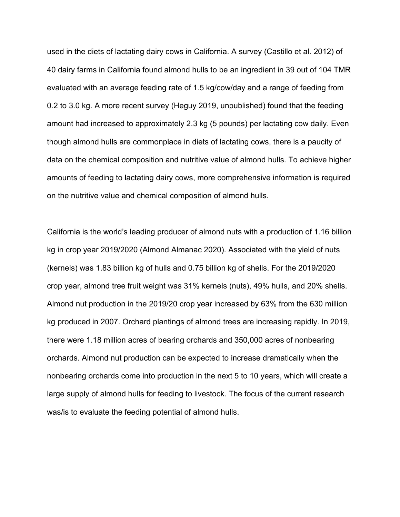used in the diets of lactating dairy cows in California. A survey (Castillo et al. 2012) of 40 dairy farms in California found almond hulls to be an ingredient in 39 out of 104 TMR evaluated with an average feeding rate of 1.5 kg/cow/day and a range of feeding from 0.2 to 3.0 kg. A more recent survey (Heguy 2019, unpublished) found that the feeding amount had increased to approximately 2.3 kg (5 pounds) per lactating cow daily. Even though almond hulls are commonplace in diets of lactating cows, there is a paucity of data on the chemical composition and nutritive value of almond hulls. To achieve higher amounts of feeding to lactating dairy cows, more comprehensive information is required on the nutritive value and chemical composition of almond hulls.

California is the world's leading producer of almond nuts with a production of 1.16 billion kg in crop year 2019/2020 (Almond Almanac 2020). Associated with the yield of nuts (kernels) was 1.83 billion kg of hulls and 0.75 billion kg of shells. For the 2019/2020 crop year, almond tree fruit weight was 31% kernels (nuts), 49% hulls, and 20% shells. Almond nut production in the 2019/20 crop year increased by 63% from the 630 million kg produced in 2007. Orchard plantings of almond trees are increasing rapidly. In 2019, there were 1.18 million acres of bearing orchards and 350,000 acres of nonbearing orchards. Almond nut production can be expected to increase dramatically when the nonbearing orchards come into production in the next 5 to 10 years, which will create a large supply of almond hulls for feeding to livestock. The focus of the current research was/is to evaluate the feeding potential of almond hulls.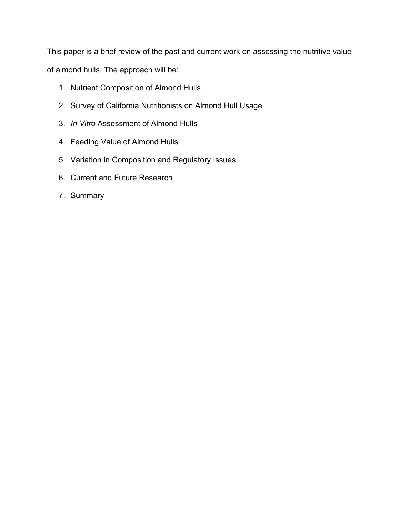This paper is a brief review of the past and current work on assessing the nutritive value of almond hulls. The approach will be:

- 1. Nutrient Composition of Almond Hulls
- 2. Survey of California Nutritionists on Almond Hull Usage
- 3. *In Vitro* Assessment of Almond Hulls
- 4. Feeding Value of Almond Hulls
- 5. Variation in Composition and Regulatory Issues
- 6. Current and Future Research
- 7. Summary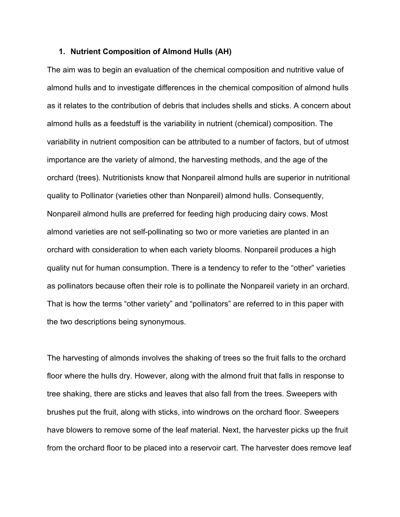#### **1. Nutrient Composition of Almond Hulls (AH)**

The aim was to begin an evaluation of the chemical composition and nutritive value of almond hulls and to investigate differences in the chemical composition of almond hulls as it relates to the contribution of debris that includes shells and sticks. A concern about almond hulls as a feedstuff is the variability in nutrient (chemical) composition. The variability in nutrient composition can be attributed to a number of factors, but of utmost importance are the variety of almond, the harvesting methods, and the age of the orchard (trees). Nutritionists know that Nonpareil almond hulls are superior in nutritional quality to Pollinator (varieties other than Nonpareil) almond hulls. Consequently, Nonpareil almond hulls are preferred for feeding high producing dairy cows. Most almond varieties are not self-pollinating so two or more varieties are planted in an orchard with consideration to when each variety blooms. Nonpareil produces a high quality nut for human consumption. There is a tendency to refer to the "other" varieties as pollinators because often their role is to pollinate the Nonpareil variety in an orchard. That is how the terms "other variety" and "pollinators" are referred to in this paper with the two descriptions being synonymous.

The harvesting of almonds involves the shaking of trees so the fruit falls to the orchard floor where the hulls dry. However, along with the almond fruit that falls in response to tree shaking, there are sticks and leaves that also fall from the trees. Sweepers with brushes put the fruit, along with sticks, into windrows on the orchard floor. Sweepers have blowers to remove some of the leaf material. Next, the harvester picks up the fruit from the orchard floor to be placed into a reservoir cart. The harvester does remove leaf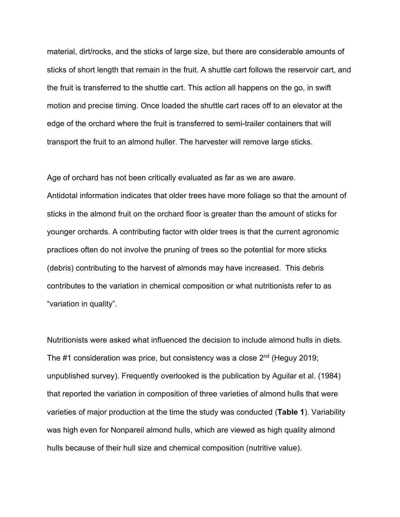material, dirt/rocks, and the sticks of large size, but there are considerable amounts of sticks of short length that remain in the fruit. A shuttle cart follows the reservoir cart, and the fruit is transferred to the shuttle cart. This action all happens on the go, in swift motion and precise timing. Once loaded the shuttle cart races off to an elevator at the edge of the orchard where the fruit is transferred to semi-trailer containers that will transport the fruit to an almond huller. The harvester will remove large sticks.

Age of orchard has not been critically evaluated as far as we are aware. Antidotal information indicates that older trees have more foliage so that the amount of sticks in the almond fruit on the orchard floor is greater than the amount of sticks for younger orchards. A contributing factor with older trees is that the current agronomic practices often do not involve the pruning of trees so the potential for more sticks (debris) contributing to the harvest of almonds may have increased. This debris contributes to the variation in chemical composition or what nutritionists refer to as "variation in quality".

Nutritionists were asked what influenced the decision to include almond hulls in diets. The #1 consideration was price, but consistency was a close  $2^{nd}$  (Heguy 2019; unpublished survey). Frequently overlooked is the publication by Aguilar et al. (1984) that reported the variation in composition of three varieties of almond hulls that were varieties of major production at the time the study was conducted (**Table 1**). Variability was high even for Nonpareil almond hulls, which are viewed as high quality almond hulls because of their hull size and chemical composition (nutritive value).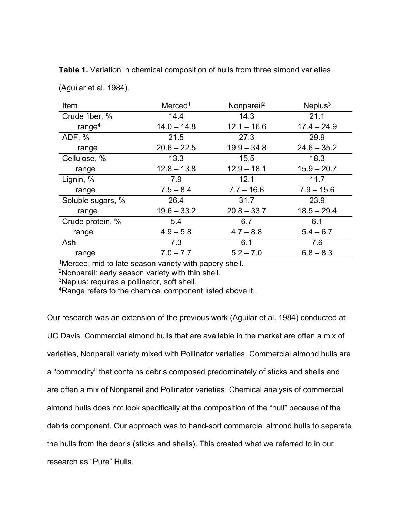| Item              | Merced <sup>1</sup> | Nonpareil <sup>2</sup> | Neplus $3$    |
|-------------------|---------------------|------------------------|---------------|
| Crude fiber, %    | 14.4                | 14.3                   | 21.1          |
| range $4$         | $14.0 - 14.8$       | $12.1 - 16.6$          | $17.4 - 24.9$ |
| ADF, %            | 21.5                | 27.3                   | 29.9          |
| range             | $20.6 - 22.5$       | $19.9 - 34.8$          | $24.6 - 35.2$ |
| Cellulose, %      | 13.3                | 15.5                   | 18.3          |
| range             | $12.8 - 13.8$       | $12.9 - 18.1$          | $15.9 - 20.7$ |
| Lignin, %         | 7.9                 | 12.1                   | 11.7          |
| range             | $7.5 - 8.4$         | $7.7 - 16.6$           | $7.9 - 15.6$  |
| Soluble sugars, % | 26.4                | 31.7                   | 23.9          |
| range             | $19.6 - 33.2$       | $20.8 - 33.7$          | $18.5 - 29.4$ |
| Crude protein, %  | 5.4                 | 6.7                    | 6.1           |
| range             | $4.9 - 5.8$         | $4.7 - 8.8$            | $5.4 - 6.7$   |
| Ash               | 7.3                 | 6.1                    | 7.6           |
| range             | $7.0 - 7.7$         | $5.2 - 7.0$            | $6.8 - 8.3$   |

**Table 1.** Variation in chemical composition of hulls from three almond varieties

(Aguilar et al. 1984).

 $\sqrt[1]{1}$ Merced: mid to late season variety with papery shell.

2Nonpareil: early season variety with thin shell.

3Neplus: requires a pollinator, soft shell.

<sup>4</sup>Range refers to the chemical component listed above it.

Our research was an extension of the previous work (Aguilar et al. 1984) conducted at UC Davis. Commercial almond hulls that are available in the market are often a mix of varieties, Nonpareil variety mixed with Pollinator varieties. Commercial almond hulls are a "commodity" that contains debris composed predominately of sticks and shells and are often a mix of Nonpareil and Pollinator varieties. Chemical analysis of commercial almond hulls does not look specifically at the composition of the "hull" because of the debris component. Our approach was to hand-sort commercial almond hulls to separate the hulls from the debris (sticks and shells). This created what we referred to in our research as "Pure" Hulls.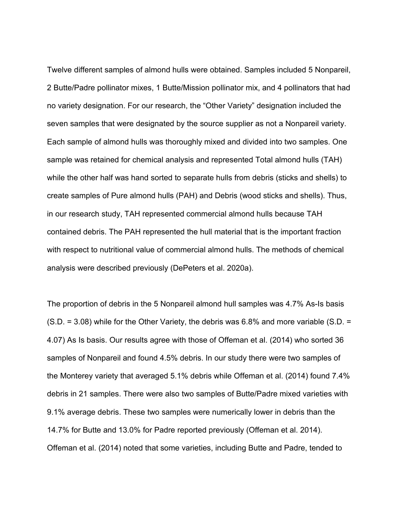Twelve different samples of almond hulls were obtained. Samples included 5 Nonpareil, 2 Butte/Padre pollinator mixes, 1 Butte/Mission pollinator mix, and 4 pollinators that had no variety designation. For our research, the "Other Variety" designation included the seven samples that were designated by the source supplier as not a Nonpareil variety. Each sample of almond hulls was thoroughly mixed and divided into two samples. One sample was retained for chemical analysis and represented Total almond hulls (TAH) while the other half was hand sorted to separate hulls from debris (sticks and shells) to create samples of Pure almond hulls (PAH) and Debris (wood sticks and shells). Thus, in our research study, TAH represented commercial almond hulls because TAH contained debris. The PAH represented the hull material that is the important fraction with respect to nutritional value of commercial almond hulls. The methods of chemical analysis were described previously (DePeters et al. 2020a).

The proportion of debris in the 5 Nonpareil almond hull samples was 4.7% As-Is basis  $(S.D. = 3.08)$  while for the Other Variety, the debris was 6.8% and more variable (S.D. = 4.07) As Is basis. Our results agree with those of Offeman et al. (2014) who sorted 36 samples of Nonpareil and found 4.5% debris. In our study there were two samples of the Monterey variety that averaged 5.1% debris while Offeman et al. (2014) found 7.4% debris in 21 samples. There were also two samples of Butte/Padre mixed varieties with 9.1% average debris. These two samples were numerically lower in debris than the 14.7% for Butte and 13.0% for Padre reported previously (Offeman et al. 2014). Offeman et al. (2014) noted that some varieties, including Butte and Padre, tended to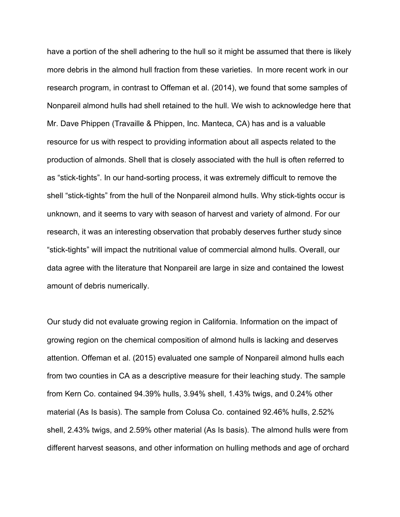have a portion of the shell adhering to the hull so it might be assumed that there is likely more debris in the almond hull fraction from these varieties. In more recent work in our research program, in contrast to Offeman et al. (2014), we found that some samples of Nonpareil almond hulls had shell retained to the hull. We wish to acknowledge here that Mr. Dave Phippen (Travaille & Phippen, Inc. Manteca, CA) has and is a valuable resource for us with respect to providing information about all aspects related to the production of almonds. Shell that is closely associated with the hull is often referred to as "stick-tights". In our hand-sorting process, it was extremely difficult to remove the shell "stick-tights" from the hull of the Nonpareil almond hulls. Why stick-tights occur is unknown, and it seems to vary with season of harvest and variety of almond. For our research, it was an interesting observation that probably deserves further study since "stick-tights" will impact the nutritional value of commercial almond hulls. Overall, our data agree with the literature that Nonpareil are large in size and contained the lowest amount of debris numerically.

Our study did not evaluate growing region in California. Information on the impact of growing region on the chemical composition of almond hulls is lacking and deserves attention. Offeman et al. (2015) evaluated one sample of Nonpareil almond hulls each from two counties in CA as a descriptive measure for their leaching study. The sample from Kern Co. contained 94.39% hulls, 3.94% shell, 1.43% twigs, and 0.24% other material (As Is basis). The sample from Colusa Co. contained 92.46% hulls, 2.52% shell, 2.43% twigs, and 2.59% other material (As Is basis). The almond hulls were from different harvest seasons, and other information on hulling methods and age of orchard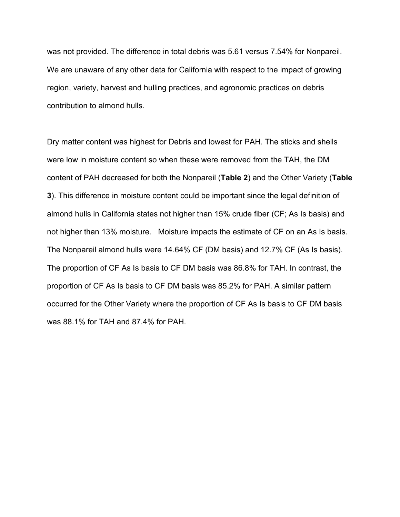was not provided. The difference in total debris was 5.61 versus 7.54% for Nonpareil. We are unaware of any other data for California with respect to the impact of growing region, variety, harvest and hulling practices, and agronomic practices on debris contribution to almond hulls.

Dry matter content was highest for Debris and lowest for PAH. The sticks and shells were low in moisture content so when these were removed from the TAH, the DM content of PAH decreased for both the Nonpareil (**Table 2**) and the Other Variety (**Table 3**). This difference in moisture content could be important since the legal definition of almond hulls in California states not higher than 15% crude fiber (CF; As Is basis) and not higher than 13% moisture. Moisture impacts the estimate of CF on an As Is basis. The Nonpareil almond hulls were 14.64% CF (DM basis) and 12.7% CF (As Is basis). The proportion of CF As Is basis to CF DM basis was 86.8% for TAH. In contrast, the proportion of CF As Is basis to CF DM basis was 85.2% for PAH. A similar pattern occurred for the Other Variety where the proportion of CF As Is basis to CF DM basis was 88.1% for TAH and 87.4% for PAH.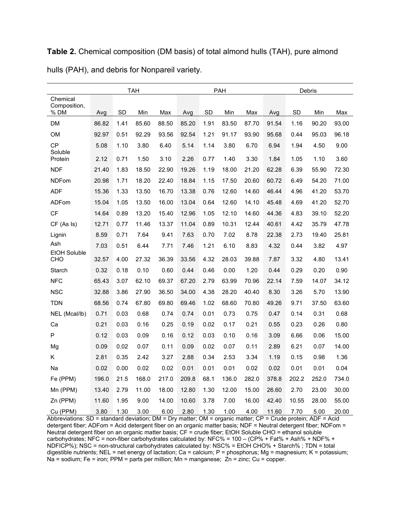|                            |       |      | <b>TAH</b> |       |       |      | PAH   |       |       |       | Debris |       |
|----------------------------|-------|------|------------|-------|-------|------|-------|-------|-------|-------|--------|-------|
| Chemical                   |       |      |            |       |       |      |       |       |       |       |        |       |
| Composition,<br>% DM       | Avg   | SD   | Min        | Max   | Avg   | SD   | Min   | Max   | Avg   | SD    | Min    | Max   |
| <b>DM</b>                  | 86.82 | 1.41 | 85.60      | 88.50 | 85.20 | 1.91 | 83.50 | 87.70 | 91.54 | 1.16  | 90.20  | 93.00 |
| OM                         | 92.97 | 0.51 | 92.29      | 93.56 | 92.54 | 1.21 | 91.17 | 93.90 | 95.68 | 0.44  | 95.03  | 96.18 |
| CP                         | 5.08  | 1.10 | 3.80       | 6.40  | 5.14  | 1.14 | 3.80  | 6.70  | 6.94  | 1.94  | 4.50   | 9.00  |
| Soluble<br>Protein         | 2.12  | 0.71 | 1.50       | 3.10  | 2.26  | 0.77 | 1.40  | 3.30  | 1.84  | 1.05  | 1.10   | 3.60  |
| <b>NDF</b>                 | 21.40 | 1.83 | 18.50      | 22.90 | 19.26 | 1.19 | 18.00 | 21.20 | 62.28 | 6.39  | 55.90  | 72.30 |
| <b>NDFom</b>               | 20.98 | 1.71 | 18.20      | 22.40 | 18.84 | 1.15 | 17.50 | 20.60 | 60.72 | 6.49  | 54.20  | 71.00 |
| ADF                        | 15.36 | 1.33 | 13.50      | 16.70 | 13.38 | 0.76 | 12.60 | 14.60 | 46.44 | 4.96  | 41.20  | 53.70 |
| ADFom                      | 15.04 | 1.05 | 13.50      | 16.00 | 13.04 | 0.64 | 12.60 | 14.10 | 45.48 | 4.69  | 41.20  | 52.70 |
| CF                         | 14.64 | 0.89 | 13.20      | 15.40 | 12.96 | 1.05 | 12.10 | 14.60 | 44.36 | 4.83  | 39.10  | 52.20 |
| CF (As Is)                 | 12.71 | 0.77 | 11.46      | 13.37 | 11.04 | 0.89 | 10.31 | 12.44 | 40.61 | 4.42  | 35.79  | 47.78 |
| Lignin                     | 8.59  | 0.71 | 7.64       | 9.41  | 7.63  | 0.70 | 7.02  | 8.78  | 22.38 | 2.73  | 19.40  | 25.81 |
| Ash                        | 7.03  | 0.51 | 6.44       | 7.71  | 7.46  | 1.21 | 6.10  | 8.83  | 4.32  | 0.44  | 3.82   | 4.97  |
| <b>EtOH Soluble</b><br>CHO | 32.57 | 4.00 | 27.32      | 36.39 | 33.56 | 4.32 | 28.03 | 39.88 | 7.87  | 3.32  | 4.80   | 13.41 |
| Starch                     | 0.32  | 0.18 | 0.10       | 0.60  | 0.44  | 0.46 | 0.00  | 1.20  | 0.44  | 0.29  | 0.20   | 0.90  |
| <b>NFC</b>                 | 65.43 | 3.07 | 62.10      | 69.37 | 67.20 | 2.79 | 63.99 | 70.96 | 22.14 | 7.59  | 14.07  | 34.12 |
| <b>NSC</b>                 | 32.88 | 3.86 | 27.90      | 36.50 | 34.00 | 4.38 | 28.20 | 40.40 | 8.30  | 3.26  | 5.70   | 13.90 |
| <b>TDN</b>                 | 68.56 | 0.74 | 67.80      | 69.80 | 69.46 | 1.02 | 68.60 | 70.80 | 49.26 | 9.71  | 37.50  | 63.60 |
| NEL (Mcal/lb)              | 0.71  | 0.03 | 0.68       | 0.74  | 0.74  | 0.01 | 0.73  | 0.75  | 0.47  | 0.14  | 0.31   | 0.68  |
| Ca                         | 0.21  | 0.03 | 0.16       | 0.25  | 0.19  | 0.02 | 0.17  | 0.21  | 0.55  | 0.23  | 0.26   | 0.80  |
| P                          | 0.12  | 0.03 | 0.09       | 0.16  | 0.12  | 0.03 | 0.10  | 0.16  | 3.09  | 6.66  | 0.06   | 15.00 |
| Mg                         | 0.09  | 0.02 | 0.07       | 0.11  | 0.09  | 0.02 | 0.07  | 0.11  | 2.89  | 6.21  | 0.07   | 14.00 |
| Κ                          | 2.81  | 0.35 | 2.42       | 3.27  | 2.88  | 0.34 | 2.53  | 3.34  | 1.19  | 0.15  | 0.98   | 1.36  |
| Na                         | 0.02  | 0.00 | 0.02       | 0.02  | 0.01  | 0.01 | 0.01  | 0.02  | 0.02  | 0.01  | 0.01   | 0.04  |
| Fe (PPM)                   | 196.0 | 21.5 | 168.0      | 217.0 | 209.8 | 68.1 | 136.0 | 282.0 | 378.8 | 202.2 | 252.0  | 734.0 |
| Mn (PPM)                   | 13.40 | 2.79 | 11.00      | 18.00 | 12.80 | 1.30 | 12.00 | 15.00 | 26.60 | 2.70  | 23.00  | 30.00 |
| Zn (PPM)                   | 11.60 | 1.95 | 9.00       | 14.00 | 10.60 | 3.78 | 7.00  | 16.00 | 42.40 | 10.55 | 28.00  | 55.00 |
| Cu (PPM)                   | 3.80  | 1.30 | 3.00       | 6.00  | 2.80  | 1.30 | 1.00  | 4.00  | 11.60 | 7.70  | 5.00   | 20.00 |

**Table 2.** Chemical composition (DM basis) of total almond hulls (TAH), pure almond hulls (PAH), and debris for Nonpareil variety.

Abbreviations: SD = standard deviation; DM = Dry matter; OM = organic matter; CP = Crude protein; ADF = Acid detergent fiber; ADFom = Acid detergent fiber on an organic matter basis; NDF = Neutral detergent fiber; NDFom = Neutral detergent fiber on an organic matter basis; CF = crude fiber; EtOH Soluble CHO = ethanol soluble carbohydrates; NFC = non-fiber carbohydrates calculated by: NFC% = 100 – (CP% + Fat% + Ash% + NDF% + NDFICP%); NSC = non-structural carbohydrates calculated by: NSC% = EtOH CHO% + Starch% ; TDN = total digestible nutrients; NEL = net energy of lactation; Ca = calcium; P = phosphorus; Mg = magnesium; K = potassium; Na = sodium; Fe = iron; PPM = parts per million; Mn = manganese; Zn = zinc; Cu = copper.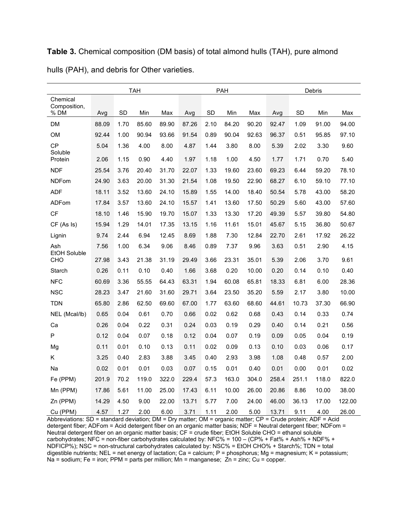| Chemical                   |       |      | TAH   |       |       |           | PAH   |       |       |       | Debris |        |
|----------------------------|-------|------|-------|-------|-------|-----------|-------|-------|-------|-------|--------|--------|
| Composition,<br>% DM       |       | SD   | Min   | Max   |       | <b>SD</b> | Min   | Max   |       | SD    | Min    | Max    |
|                            | Avg   |      |       |       | Avg   |           |       |       | Avg   |       |        |        |
| DM                         | 88.09 | 1.70 | 85.60 | 89.90 | 87.26 | 2.10      | 84.20 | 90.20 | 92.47 | 1.09  | 91.00  | 94.00  |
| OM                         | 92.44 | 1.00 | 90.94 | 93.66 | 91.54 | 0.89      | 90.04 | 92.63 | 96.37 | 0.51  | 95.85  | 97.10  |
| CP<br>Soluble              | 5.04  | 1.36 | 4.00  | 8.00  | 4.87  | 1.44      | 3.80  | 8.00  | 5.39  | 2.02  | 3.30   | 9.60   |
| Protein                    | 2.06  | 1.15 | 0.90  | 4.40  | 1.97  | 1.18      | 1.00  | 4.50  | 1.77  | 1.71  | 0.70   | 5.40   |
| <b>NDF</b>                 | 25.54 | 3.76 | 20.40 | 31.70 | 22.07 | 1.33      | 19.60 | 23.60 | 69.23 | 6.44  | 59.20  | 78.10  |
| <b>NDFom</b>               | 24.90 | 3.63 | 20.00 | 31.30 | 21.54 | 1.08      | 19.50 | 22.90 | 68.27 | 6.10  | 59.10  | 77.10  |
| <b>ADF</b>                 | 18.11 | 3.52 | 13.60 | 24.10 | 15.89 | 1.55      | 14.00 | 18.40 | 50.54 | 5.78  | 43.00  | 58.20  |
| ADFom                      | 17.84 | 3.57 | 13.60 | 24.10 | 15.57 | 1.41      | 13.60 | 17.50 | 50.29 | 5.60  | 43.00  | 57.60  |
| <b>CF</b>                  | 18.10 | 1.46 | 15.90 | 19.70 | 15.07 | 1.33      | 13.30 | 17.20 | 49.39 | 5.57  | 39.80  | 54.80  |
| CF (As Is)                 | 15.94 | 1.29 | 14.01 | 17.35 | 13.15 | 1.16      | 11.61 | 15.01 | 45.67 | 5.15  | 36.80  | 50.67  |
| Lignin                     | 9.74  | 2.44 | 6.94  | 12.45 | 8.69  | 1.88      | 7.30  | 12.84 | 22.70 | 2.61  | 17.92  | 26.22  |
| Ash                        | 7.56  | 1.00 | 6.34  | 9.06  | 8.46  | 0.89      | 7.37  | 9.96  | 3.63  | 0.51  | 2.90   | 4.15   |
| <b>EtOH Soluble</b><br>CHO | 27.98 | 3.43 | 21.38 | 31.19 | 29.49 | 3.66      | 23.31 | 35.01 | 5.39  | 2.06  | 3.70   | 9.61   |
| Starch                     | 0.26  | 0.11 | 0.10  | 0.40  | 1.66  | 3.68      | 0.20  | 10.00 | 0.20  | 0.14  | 0.10   | 0.40   |
| <b>NFC</b>                 | 60.69 | 3.36 | 55.55 | 64.43 | 63.31 | 1.94      | 60.08 | 65.81 | 18.33 | 6.81  | 6.00   | 28.36  |
| <b>NSC</b>                 | 28.23 | 3.47 | 21.60 | 31.60 | 29.71 | 3.64      | 23.50 | 35.20 | 5.59  | 2.17  | 3.80   | 10.00  |
| <b>TDN</b>                 | 65.80 | 2.86 | 62.50 | 69.60 | 67.00 | 1.77      | 63.60 | 68.60 | 44.61 | 10.73 | 37.30  | 66.90  |
| NEL (Mcal/lb)              | 0.65  | 0.04 | 0.61  | 0.70  | 0.66  | 0.02      | 0.62  | 0.68  | 0.43  | 0.14  | 0.33   | 0.74   |
| Сa                         | 0.26  | 0.04 | 0.22  | 0.31  | 0.24  | 0.03      | 0.19  | 0.29  | 0.40  | 0.14  | 0.21   | 0.56   |
| P                          | 0.12  | 0.04 | 0.07  | 0.18  | 0.12  | 0.04      | 0.07  | 0.19  | 0.09  | 0.05  | 0.04   | 0.19   |
| Mg                         | 0.11  | 0.01 | 0.10  | 0.13  | 0.11  | 0.02      | 0.09  | 0.13  | 0.10  | 0.03  | 0.06   | 0.17   |
| Κ                          | 3.25  | 0.40 | 2.83  | 3.88  | 3.45  | 0.40      | 2.93  | 3.98  | 1.08  | 0.48  | 0.57   | 2.00   |
| Na                         | 0.02  | 0.01 | 0.01  | 0.03  | 0.07  | 0.15      | 0.01  | 0.40  | 0.01  | 0.00  | 0.01   | 0.02   |
| Fe (PPM)                   | 201.9 | 70.2 | 119.0 | 322.0 | 229.4 | 57.3      | 163.0 | 304.0 | 258.4 | 251.1 | 118.0  | 822.0  |
| Mn (PPM)                   | 17.86 | 5.61 | 11.00 | 25.00 | 17.43 | 6.11      | 10.00 | 26.00 | 20.86 | 8.86  | 10.00  | 38.00  |
| Zn (PPM)                   | 14.29 | 4.50 | 9.00  | 22.00 | 13.71 | 5.77      | 7.00  | 24.00 | 46.00 | 36.13 | 17.00  | 122.00 |
| Cu (PPM)                   | 4.57  | 1.27 | 2.00  | 6.00  | 3.71  | 1.11      | 2.00  | 5.00  | 13.71 | 9.11  | 4.00   | 26.00  |

**Table 3.** Chemical composition (DM basis) of total almond hulls (TAH), pure almond hulls (PAH), and debris for Other varieties.

Abbreviations: SD = standard deviation; DM = Dry matter; OM = organic matter; CP = Crude protein; ADF = Acid detergent fiber; ADFom = Acid detergent fiber on an organic matter basis; NDF = Neutral detergent fiber; NDFom = Neutral detergent fiber on an organic matter basis; CF = crude fiber; EtOH Soluble CHO = ethanol soluble carbohydrates; NFC = non-fiber carbohydrates calculated by: NFC% = 100 – (CP% + Fat% + Ash% + NDF% + NDFICP%); NSC = non-structural carbohydrates calculated by: NSC% = EtOH CHO% + Starch%; TDN = total digestible nutrients; NEL = net energy of lactation; Ca = calcium; P = phosphorus; Mg = magnesium; K = potassium; Na = sodium; Fe = iron; PPM = parts per million; Mn = manganese; Zn = zinc; Cu = copper.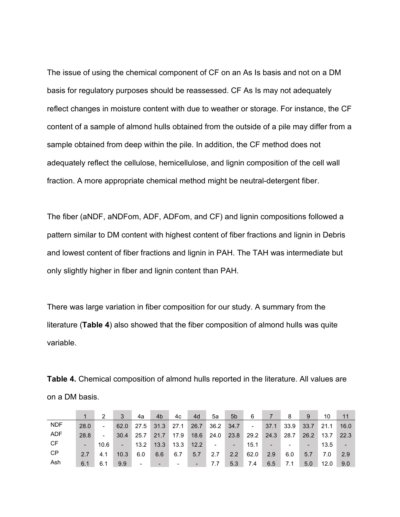The issue of using the chemical component of CF on an As Is basis and not on a DM basis for regulatory purposes should be reassessed. CF As Is may not adequately reflect changes in moisture content with due to weather or storage. For instance, the CF content of a sample of almond hulls obtained from the outside of a pile may differ from a sample obtained from deep within the pile. In addition, the CF method does not adequately reflect the cellulose, hemicellulose, and lignin composition of the cell wall fraction. A more appropriate chemical method might be neutral-detergent fiber.

The fiber (aNDF, aNDFom, ADF, ADFom, and CF) and lignin compositions followed a pattern similar to DM content with highest content of fiber fractions and lignin in Debris and lowest content of fiber fractions and lignin in PAH. The TAH was intermediate but only slightly higher in fiber and lignin content than PAH.

There was large variation in fiber composition for our study. A summary from the literature (**Table 4**) also showed that the fiber composition of almond hulls was quite variable.

|            |      | 2                        | 3              | 4a             | 4 <sub>b</sub> | 4c   | 4d   | 5a                           | 5 <sub>b</sub>           | 6      |                | -8   | 9                        | 10   | 11   |
|------------|------|--------------------------|----------------|----------------|----------------|------|------|------------------------------|--------------------------|--------|----------------|------|--------------------------|------|------|
| <b>NDF</b> | 28.0 | $\sim$                   | 62.0           | 27.5           | 31.3           | 27.1 | 26.7 | 36.2                         | 34.7                     | $\sim$ | 37.1           | 33.9 | 33.7                     | 21.1 | 16.0 |
| ADF        | 28.8 | $\overline{\phantom{a}}$ | 30.4           | 25.7           | 21.7           | 17.9 | 18.6 | 24.0                         | 23.8                     | 29.2   | 24.3           | 28.7 | 26.2                     | 13.7 | 22.3 |
| CF         | L.   | 10.6                     | $\blacksquare$ | 13.2           | 13.3           | 13.3 | 12.2 | $\qquad \qquad \blacksquare$ | $\overline{\phantom{a}}$ | 15.1   | $\blacksquare$ |      | $\overline{\phantom{a}}$ | 13.5 | ÷.   |
| CP         | 27   | 4.1                      | 10.3           | 6.0            | 6.6            | 6.7  | 5.7  | 2.7                          | 2.2                      | 62.0   | 2.9            | 6.0  | 5.7                      | 7.0  | 2.9  |
| Ash        | 6.1  | 6.1                      | 9.9            | $\blacksquare$ | $\blacksquare$ |      |      | 7.7                          | 5.3                      | 7.4    | 6.5            | 7.1  | 5.0                      | 12.0 | 9.0  |

**Table 4.** Chemical composition of almond hulls reported in the literature. All values are on a DM basis.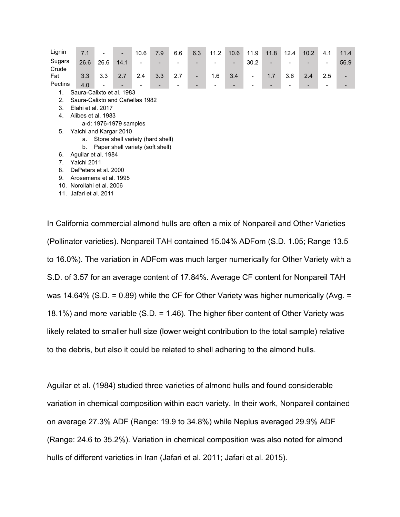| Lignin  | 7.1                             |      |                                  | 10.6 | 7.9 | 6.6 | 6.3 | 11.2 | 10.6 | 11.9                     | 11.8 | 12.4 | 10.2 | 4.1                      | 11.4 |
|---------|---------------------------------|------|----------------------------------|------|-----|-----|-----|------|------|--------------------------|------|------|------|--------------------------|------|
| Sugars  | 26.6                            | 26.6 | 14.1                             |      |     |     |     |      |      | 30.2                     |      |      |      | $\overline{\phantom{0}}$ | 56.9 |
| Crude   |                                 |      |                                  |      |     |     |     |      |      |                          |      |      |      |                          |      |
| Fat     | 3.3                             | 3.3  | 2.7                              | 2.4  | 3.3 | 2.7 | -   | 1.6  | 3.4  | $\overline{\phantom{a}}$ | 1.7  | 3.6  | 2.4  | 2.5                      |      |
| Pectins | 4.0                             |      |                                  |      |     |     |     |      |      |                          | -    |      |      | -                        |      |
| 1.      | Saura-Calixto et al. 1983       |      |                                  |      |     |     |     |      |      |                          |      |      |      |                          |      |
| 2.      | Saura-Calixto and Cañellas 1982 |      |                                  |      |     |     |     |      |      |                          |      |      |      |                          |      |
| 3.      | Elahi et al. 2017               |      |                                  |      |     |     |     |      |      |                          |      |      |      |                          |      |
| 4.      | Alibes et al. 1983              |      |                                  |      |     |     |     |      |      |                          |      |      |      |                          |      |
|         |                                 |      | a-d: 1976-1979 samples           |      |     |     |     |      |      |                          |      |      |      |                          |      |
| 5.      | Yalchi and Kargar 2010          |      |                                  |      |     |     |     |      |      |                          |      |      |      |                          |      |
|         | a.                              |      | Stone shell variety (hard shell) |      |     |     |     |      |      |                          |      |      |      |                          |      |
|         | b.                              |      | Paper shell variety (soft shell) |      |     |     |     |      |      |                          |      |      |      |                          |      |
| 6.      | Aguilar et al. 1984             |      |                                  |      |     |     |     |      |      |                          |      |      |      |                          |      |
| 7.      | Yalchi 2011                     |      |                                  |      |     |     |     |      |      |                          |      |      |      |                          |      |
| 8.      | DePeters et al. 2000            |      |                                  |      |     |     |     |      |      |                          |      |      |      |                          |      |
| 9.      | Arosemena et al. 1995           |      |                                  |      |     |     |     |      |      |                          |      |      |      |                          |      |
|         | 10. Norollahi et al. 2006       |      |                                  |      |     |     |     |      |      |                          |      |      |      |                          |      |

11. Jafari et al. 2011

In California commercial almond hulls are often a mix of Nonpareil and Other Varieties (Pollinator varieties). Nonpareil TAH contained 15.04% ADFom (S.D. 1.05; Range 13.5 to 16.0%). The variation in ADFom was much larger numerically for Other Variety with a S.D. of 3.57 for an average content of 17.84%. Average CF content for Nonpareil TAH was 14.64% (S.D. = 0.89) while the CF for Other Variety was higher numerically (Avg. = 18.1%) and more variable (S.D. = 1.46). The higher fiber content of Other Variety was likely related to smaller hull size (lower weight contribution to the total sample) relative to the debris, but also it could be related to shell adhering to the almond hulls.

Aguilar et al. (1984) studied three varieties of almond hulls and found considerable variation in chemical composition within each variety. In their work, Nonpareil contained on average 27.3% ADF (Range: 19.9 to 34.8%) while Neplus averaged 29.9% ADF (Range: 24.6 to 35.2%). Variation in chemical composition was also noted for almond hulls of different varieties in Iran (Jafari et al. 2011; Jafari et al. 2015).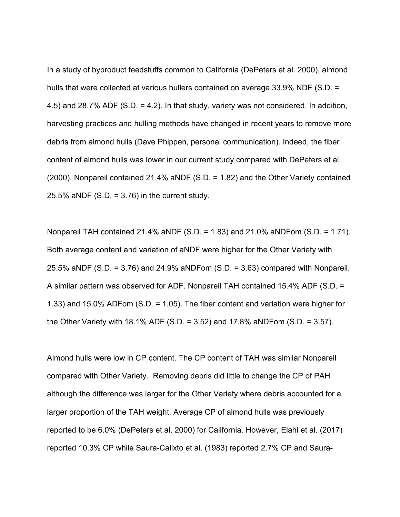In a study of byproduct feedstuffs common to California (DePeters et al. 2000), almond hulls that were collected at various hullers contained on average 33.9% NDF (S.D. = 4.5) and 28.7% ADF (S.D. = 4.2). In that study, variety was not considered. In addition, harvesting practices and hulling methods have changed in recent years to remove more debris from almond hulls (Dave Phippen, personal communication). Indeed, the fiber content of almond hulls was lower in our current study compared with DePeters et al. (2000). Nonpareil contained 21.4% aNDF (S.D. = 1.82) and the Other Variety contained 25.5% aNDF  $(S.D. = 3.76)$  in the current study.

Nonpareil TAH contained 21.4% aNDF (S.D. = 1.83) and 21.0% aNDFom (S.D. = 1.71). Both average content and variation of aNDF were higher for the Other Variety with 25.5% aNDF (S.D. = 3.76) and 24.9% aNDFom (S.D. = 3.63) compared with Nonpareil. A similar pattern was observed for ADF. Nonpareil TAH contained 15.4% ADF (S.D. = 1.33) and 15.0% ADFom (S.D. = 1.05). The fiber content and variation were higher for the Other Variety with 18.1% ADF (S.D. = 3.52) and 17.8% aNDFom (S.D. = 3.57).

Almond hulls were low in CP content. The CP content of TAH was similar Nonpareil compared with Other Variety. Removing debris did little to change the CP of PAH although the difference was larger for the Other Variety where debris accounted for a larger proportion of the TAH weight. Average CP of almond hulls was previously reported to be 6.0% (DePeters et al. 2000) for California. However, Elahi et al. (2017) reported 10.3% CP while Saura-Calixto et al. (1983) reported 2.7% CP and Saura-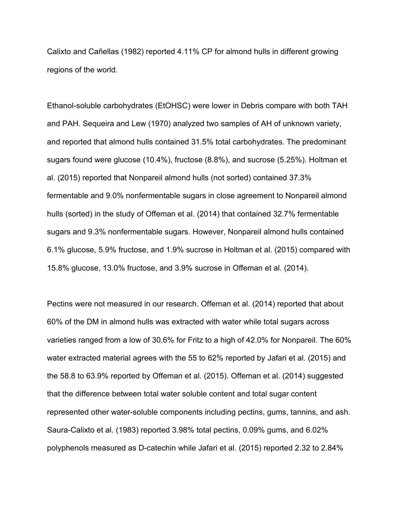Calixto and Cañellas (1982) reported 4.11% CP for almond hulls in different growing regions of the world.

Ethanol-soluble carbohydrates (EtOHSC) were lower in Debris compare with both TAH and PAH. Sequeira and Lew (1970) analyzed two samples of AH of unknown variety, and reported that almond hulls contained 31.5% total carbohydrates. The predominant sugars found were glucose (10.4%), fructose (8.8%), and sucrose (5.25%). Holtman et al. (2015) reported that Nonpareil almond hulls (not sorted) contained 37.3% fermentable and 9.0% nonfermentable sugars in close agreement to Nonpareil almond hulls (sorted) in the study of Offeman et al. (2014) that contained 32.7% fermentable sugars and 9.3% nonfermentable sugars. However, Nonpareil almond hulls contained 6.1% glucose, 5.9% fructose, and 1.9% sucrose in Holtman et al. (2015) compared with 15.8% glucose, 13.0% fructose, and 3.9% sucrose in Offeman et al. (2014).

Pectins were not measured in our research. Offeman et al. (2014) reported that about 60% of the DM in almond hulls was extracted with water while total sugars across varieties ranged from a low of 30.6% for Fritz to a high of 42.0% for Nonpareil. The 60% water extracted material agrees with the 55 to 62% reported by Jafari et al. (2015) and the 58.8 to 63.9% reported by Offeman et al. (2015). Offeman et al. (2014) suggested that the difference between total water soluble content and total sugar content represented other water-soluble components including pectins, gums, tannins, and ash. Saura-Calixto et al. (1983) reported 3.98% total pectins, 0.09% gums, and 6.02% polyphenols measured as D-catechin while Jafari et al. (2015) reported 2.32 to 2.84%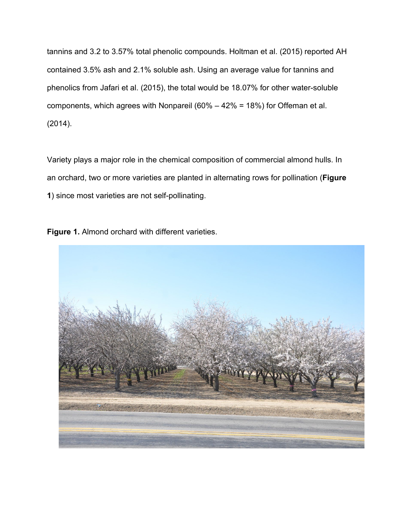tannins and 3.2 to 3.57% total phenolic compounds. Holtman et al. (2015) reported AH contained 3.5% ash and 2.1% soluble ash. Using an average value for tannins and phenolics from Jafari et al. (2015), the total would be 18.07% for other water-soluble components, which agrees with Nonpareil (60% – 42% = 18%) for Offeman et al. (2014).

Variety plays a major role in the chemical composition of commercial almond hulls. In an orchard, two or more varieties are planted in alternating rows for pollination (**Figure 1**) since most varieties are not self-pollinating.

**Figure 1.** Almond orchard with different varieties.

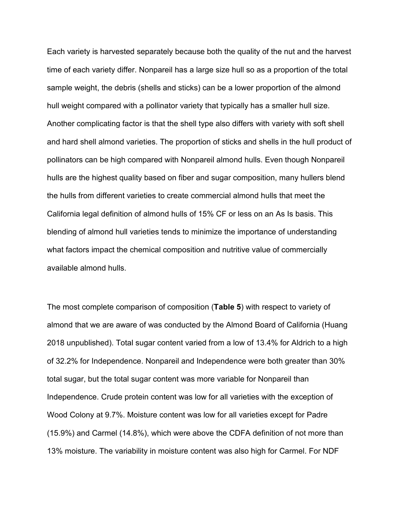Each variety is harvested separately because both the quality of the nut and the harvest time of each variety differ. Nonpareil has a large size hull so as a proportion of the total sample weight, the debris (shells and sticks) can be a lower proportion of the almond hull weight compared with a pollinator variety that typically has a smaller hull size. Another complicating factor is that the shell type also differs with variety with soft shell and hard shell almond varieties. The proportion of sticks and shells in the hull product of pollinators can be high compared with Nonpareil almond hulls. Even though Nonpareil hulls are the highest quality based on fiber and sugar composition, many hullers blend the hulls from different varieties to create commercial almond hulls that meet the California legal definition of almond hulls of 15% CF or less on an As Is basis. This blending of almond hull varieties tends to minimize the importance of understanding what factors impact the chemical composition and nutritive value of commercially available almond hulls.

The most complete comparison of composition (**Table 5**) with respect to variety of almond that we are aware of was conducted by the Almond Board of California (Huang 2018 unpublished). Total sugar content varied from a low of 13.4% for Aldrich to a high of 32.2% for Independence. Nonpareil and Independence were both greater than 30% total sugar, but the total sugar content was more variable for Nonpareil than Independence. Crude protein content was low for all varieties with the exception of Wood Colony at 9.7%. Moisture content was low for all varieties except for Padre (15.9%) and Carmel (14.8%), which were above the CDFA definition of not more than 13% moisture. The variability in moisture content was also high for Carmel. For NDF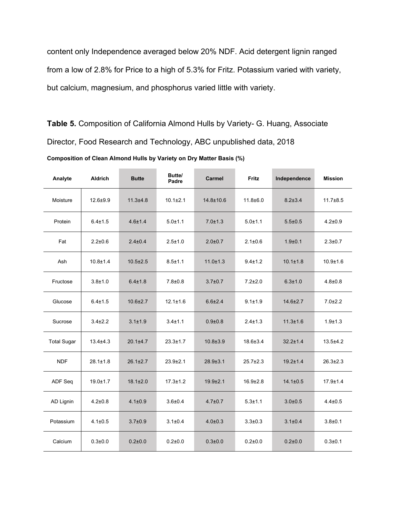content only Independence averaged below 20% NDF. Acid detergent lignin ranged from a low of 2.8% for Price to a high of 5.3% for Fritz. Potassium varied with variety, but calcium, magnesium, and phosphorus varied little with variety.

**Table 5.** Composition of California Almond Hulls by Variety- G. Huang, Associate Director, Food Research and Technology, ABC unpublished data, 2018

the control of the control of the control of

**Composition of Clean Almond Hulls by Variety on Dry Matter Basis (%)**

| Analyte            | <b>Aldrich</b> | <b>Butte</b>   | Butte/<br>Padre | <b>Carmel</b>  | Fritz          | Independence   | <b>Mission</b> |
|--------------------|----------------|----------------|-----------------|----------------|----------------|----------------|----------------|
| Moisture           | $12.6 + 9.9$   | $11.3 + 4.8$   | $10.1 \pm 2.1$  | 14.8±10.6      | $11.8 + 6.0$   | $8.2 + 3.4$    | $11.7 \pm 8.5$ |
| Protein            | $6.4 \pm 1.5$  | $4.6 + 1.4$    | $5.0 + 1.1$     | $7.0 \pm 1.3$  | $5.0 + 1.1$    | $5.5 \pm 0.5$  | $4.2 \pm 0.9$  |
| Fat                | $2.2 \pm 0.6$  | $2.4 \pm 0.4$  | $2.5 + 1.0$     | $2.0 + 0.7$    | $2.1 \pm 0.6$  | $1.9 + 0.1$    | $2.3 \pm 0.7$  |
| Ash                | $10.8 + 1.4$   | $10.5 \pm 2.5$ | $8.5 \pm 1.1$   | $11.0 \pm 1.3$ | $9.4 + 1.2$    | $10.1 \pm 1.8$ | $10.9 + 1.6$   |
| Fructose           | $3.8 + 1.0$    | $6.4 \pm 1.8$  | $7.8 + 0.8$     | $3.7 \pm 0.7$  | $7.2 \pm 2.0$  | $6.3 \pm 1.0$  | $4.8 \pm 0.8$  |
| Glucose            | $6.4 \pm 1.5$  | $10.6 \pm 2.7$ | $12.1 \pm 1.6$  | $6.6{\pm}2.4$  | $9.1 + 1.9$    | $14.6 \pm 2.7$ | $7.0 \pm 2.2$  |
| Sucrose            | $3.4 \pm 2.2$  | $3.1 \pm 1.9$  | $3.4 + 1.1$     | $0.9 + 0.8$    | $2.4 \pm 1.3$  | $11.3 \pm 1.6$ | $1.9 + 1.3$    |
| <b>Total Sugar</b> | $13.4 \pm 4.3$ | $20.1 \pm 4.7$ | $23.3 \pm 1.7$  | $10.8 \pm 3.9$ | $18.6 \pm 3.4$ | $32.2 \pm 1.4$ | $13.5 \pm 4.2$ |
| <b>NDF</b>         | $28.1 \pm 1.8$ | $26.1 \pm 2.7$ | $23.9 \pm 2.1$  | $28.9 \pm 3.1$ | $25.7 \pm 2.3$ | $19.2 \pm 1.4$ | $26.3 \pm 2.3$ |
| ADF Seq            | $19.0 \pm 1.7$ | $18.1 \pm 2.0$ | $17.3 \pm 1.2$  | $19.9 + 2.1$   | $16.9 \pm 2.8$ | $14.1 \pm 0.5$ | $17.9 \pm 1.4$ |
| AD Lignin          | $4.2 \pm 0.8$  | $4.1 \pm 0.9$  | $3.6 + 0.4$     | $4.7 \pm 0.7$  | $5.3 + 1.1$    | $3.0 + 0.5$    | $4.4 \pm 0.5$  |
| Potassium          | $4.1 \pm 0.5$  | $3.7 \pm 0.9$  | $3.1 \pm 0.4$   | $4.0 \pm 0.3$  | $3.3 \pm 0.3$  | $3.1 \pm 0.4$  | $3.8 + 0.1$    |
| Calcium            | $0.3 + 0.0$    | $0.2 + 0.0$    | $0.2 + 0.0$     | $0.3 + 0.0$    | $0.2 + 0.0$    | $0.2 + 0.0$    | $0.3 + 0.1$    |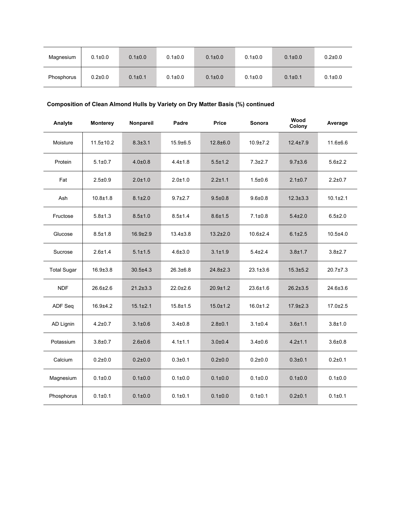| Magnesium  | $0.1 \pm 0.0$ | $0.1 \pm 0.0$ | $0.1 \pm 0.0$ | $0.1 \pm 0.0$ | $0.1 \pm 0.0$ | $0.1 \pm 0.0$ | $0.2 \pm 0.0$ |
|------------|---------------|---------------|---------------|---------------|---------------|---------------|---------------|
| Phosphorus | $0.2{\pm}0.0$ | $0.1 \pm 0.1$ | $0.1 \pm 0.0$ | $0.1 \pm 0.0$ | $0.1 \pm 0.0$ | $0.1 \pm 0.1$ | $0.1 \pm 0.0$ |

# **Composition of Clean Almond Hulls by Variety on Dry Matter Basis (%) continued**

| Analyte            | <b>Monterey</b> | Nonpareil      | Padre          | Price          | Sonora         | Wood<br>Colony | Average        |
|--------------------|-----------------|----------------|----------------|----------------|----------------|----------------|----------------|
| Moisture           | $11.5 \pm 10.2$ | $8.3 \pm 3.1$  | $15.9 \pm 6.5$ | $12.8 + 6.0$   | $10.9 \pm 7.2$ | $12.4 \pm 7.9$ | $11.6 \pm 6.6$ |
| Protein            | $5.1 \pm 0.7$   | $4.0 + 0.8$    | $4.4 \pm 1.8$  | $5.5 \pm 1.2$  | $7.3 \pm 2.7$  | $9.7 \pm 3.6$  | $5.6 \pm 2.2$  |
| Fat                | $2.5 \pm 0.9$   | $2.0 + 1.0$    | $2.0 + 1.0$    | $2.2 \pm 1.1$  | $1.5 \pm 0.6$  | $2.1 \pm 0.7$  | $2.2 + 0.7$    |
| Ash                | $10.8 + 1.8$    | $8.1 \pm 2.0$  | $9.7 \pm 2.7$  | $9.5 \pm 0.8$  | $9.6 + 0.8$    | $12.3 \pm 3.3$ | $10.1 \pm 2.1$ |
| Fructose           | $5.8 \pm 1.3$   | $8.5 \pm 1.0$  | $8.5 \pm 1.4$  | $8.6 \pm 1.5$  | $7.1 \pm 0.8$  | $5.4 \pm 2.0$  | $6.5 \pm 2.0$  |
| Glucose            | $8.5 \pm 1.8$   | $16.9 \pm 2.9$ | $13.4 \pm 3.8$ | $13.2 \pm 2.0$ | $10.6 \pm 2.4$ | $6.1 \pm 2.5$  | $10.5 + 4.0$   |
| Sucrose            | $2.6 \pm 1.4$   | $5.1 \pm 1.5$  | $4.6 \pm 3.0$  | $3.1 \pm 1.9$  | $5.4 \pm 2.4$  | $3.8 + 1.7$    | $3.8 \pm 2.7$  |
| <b>Total Sugar</b> | $16.9 \pm 3.8$  | $30.5 \pm 4.3$ | $26.3 \pm 6.8$ | $24.8 \pm 2.3$ | $23.1 \pm 3.6$ | $15.3 \pm 5.2$ | 20.7±7.3       |
| <b>NDF</b>         | $26.6 \pm 2.6$  | $21.2 \pm 3.3$ | $22.0 \pm 2.6$ | $20.9 + 1.2$   | $23.6 \pm 1.6$ | $26.2 \pm 3.5$ | $24.6 \pm 3.6$ |
| ADF Seq            | $16.9 + 4.2$    | $15.1 \pm 2.1$ | $15.8 \pm 1.5$ | $15.0 \pm 1.2$ | $16.0 \pm 1.2$ | $17.9 \pm 2.3$ | $17.0 + 2.5$   |
| AD Lignin          | $4.2 \pm 0.7$   | $3.1 \pm 0.6$  | $3.4 \pm 0.8$  | $2.8 + 0.1$    | $3.1 \pm 0.4$  | $3.6 + 1.1$    | $3.8 + 1.0$    |
| Potassium          | $3.8 \pm 0.7$   | $2.6 \pm 0.6$  | $4.1 \pm 1.1$  | $3.0 \pm 0.4$  | $3.4 \pm 0.6$  | $4.2 \pm 1.1$  | $3.6 + 0.8$    |
| Calcium            | $0.2{\pm}0.0$   | $0.2 + 0.0$    | $0.3 + 0.1$    | $0.2 \pm 0.0$  | $0.2{\pm}0.0$  | $0.3 + 0.1$    | $0.2 + 0.1$    |
| Magnesium          | $0.1 + 0.0$     | 0.1 ± 0.0      | $0.1 + 0.0$    | $0.1 \pm 0.0$  | $0.1 + 0.0$    | 0.1 ± 0.0      | 0.1 ± 0.0      |
| Phosphorus         | $0.1 \pm 0.1$   | 0.1 ± 0.0      | $0.1 \pm 0.1$  | $0.1 \pm 0.0$  | $0.1 \pm 0.1$  | $0.2 + 0.1$    | $0.1 \pm 0.1$  |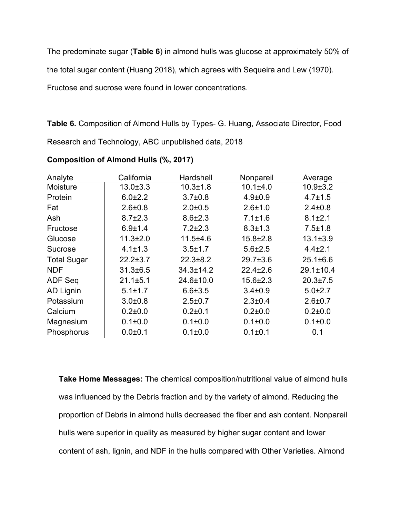The predominate sugar (**Table 6**) in almond hulls was glucose at approximately 50% of

the total sugar content (Huang 2018), which agrees with Sequeira and Lew (1970).

Fructose and sucrose were found in lower concentrations.

**Table 6.** Composition of Almond Hulls by Types- G. Huang, Associate Director, Food Research and Technology, ABC unpublished data, 2018

| Analyte            | California     | Hardshell       | Nonpareil      | Average         |
|--------------------|----------------|-----------------|----------------|-----------------|
| Moisture           | $13.0 \pm 3.3$ | $10.3 \pm 1.8$  | 10.1±4.0       | $10.9 \pm 3.2$  |
| Protein            | $6.0 \pm 2.2$  | $3.7 \pm 0.8$   | $4.9 \pm 0.9$  | $4.7 \pm 1.5$   |
| Fat                | $2.6 \pm 0.8$  | $2.0 + 0.5$     | $2.6 \pm 1.0$  | $2.4 \pm 0.8$   |
| Ash                | $8.7 \pm 2.3$  | $8.6 \pm 2.3$   | $7.1 \pm 1.6$  | $8.1 \pm 2.1$   |
| Fructose           | $6.9 \pm 1.4$  | $7.2 \pm 2.3$   | $8.3 \pm 1.3$  | $7.5 \pm 1.8$   |
| Glucose            | $11.3 \pm 2.0$ | 11.5±4.6        | $15.8 \pm 2.8$ | $13.1 \pm 3.9$  |
| <b>Sucrose</b>     | $4.1 \pm 1.3$  | $3.5 \pm 1.7$   | $5.6 \pm 2.5$  | $4.4 \pm 2.1$   |
| <b>Total Sugar</b> | $22.2 \pm 3.7$ | $22.3 \pm 8.2$  | $29.7 \pm 3.6$ | $25.1 \pm 6.6$  |
| <b>NDF</b>         | 31.3±6.5       | $34.3 \pm 14.2$ | $22.4 \pm 2.6$ | $29.1 \pm 10.4$ |
| <b>ADF Seq</b>     | $21.1 \pm 5.1$ | 24.6±10.0       | $15.6 \pm 2.3$ | $20.3 \pm 7.5$  |
| AD Lignin          | $5.1 \pm 1.7$  | $6.6 \pm 3.5$   | $3.4 \pm 0.9$  | $5.0 \pm 2.7$   |
| Potassium          | $3.0 + 0.8$    | $2.5 \pm 0.7$   | $2.3 \pm 0.4$  | $2.6 + 0.7$     |
| Calcium            | $0.2 \pm 0.0$  | $0.2 \pm 0.1$   | $0.2 \pm 0.0$  | $0.2 \pm 0.0$   |
| Magnesium          | $0.1 \pm 0.0$  | $0.1 \pm 0.0$   | $0.1 \pm 0.0$  | $0.1 \pm 0.0$   |
| Phosphorus         | $0.0 + 0.1$    | $0.1 \pm 0.0$   | $0.1 \pm 0.1$  | 0.1             |

**Composition of Almond Hulls (%, 2017)**

**Take Home Messages:** The chemical composition/nutritional value of almond hulls was influenced by the Debris fraction and by the variety of almond. Reducing the proportion of Debris in almond hulls decreased the fiber and ash content. Nonpareil hulls were superior in quality as measured by higher sugar content and lower content of ash, lignin, and NDF in the hulls compared with Other Varieties. Almond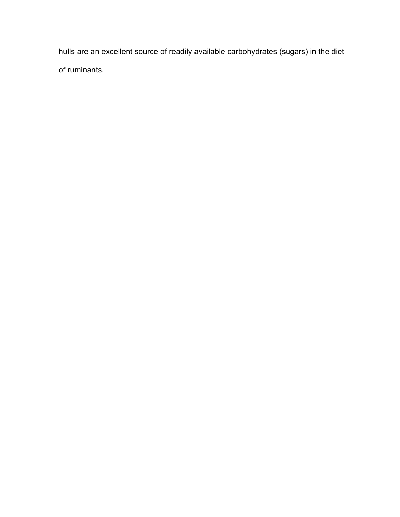hulls are an excellent source of readily available carbohydrates (sugars) in the diet of ruminants.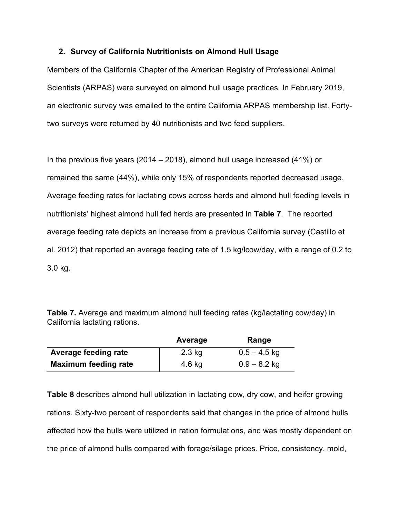## **2. Survey of California Nutritionists on Almond Hull Usage**

Members of the California Chapter of the American Registry of Professional Animal Scientists (ARPAS) were surveyed on almond hull usage practices. In February 2019, an electronic survey was emailed to the entire California ARPAS membership list. Fortytwo surveys were returned by 40 nutritionists and two feed suppliers.

In the previous five years (2014 – 2018), almond hull usage increased (41%) or remained the same (44%), while only 15% of respondents reported decreased usage. Average feeding rates for lactating cows across herds and almond hull feeding levels in nutritionists' highest almond hull fed herds are presented in **Table 7**. The reported average feeding rate depicts an increase from a previous California survey (Castillo et al. 2012) that reported an average feeding rate of 1.5 kg/lcow/day, with a range of 0.2 to 3.0 kg.

**Table 7.** Average and maximum almond hull feeding rates (kg/lactating cow/day) in California lactating rations.

|                             | Average  | Range          |
|-----------------------------|----------|----------------|
| <b>Average feeding rate</b> | $2.3$ kg | $0.5 - 4.5$ kg |
| <b>Maximum feeding rate</b> | 4.6 kg   | $0.9 - 8.2$ kg |

**Table 8** describes almond hull utilization in lactating cow, dry cow, and heifer growing rations. Sixty-two percent of respondents said that changes in the price of almond hulls affected how the hulls were utilized in ration formulations, and was mostly dependent on the price of almond hulls compared with forage/silage prices. Price, consistency, mold,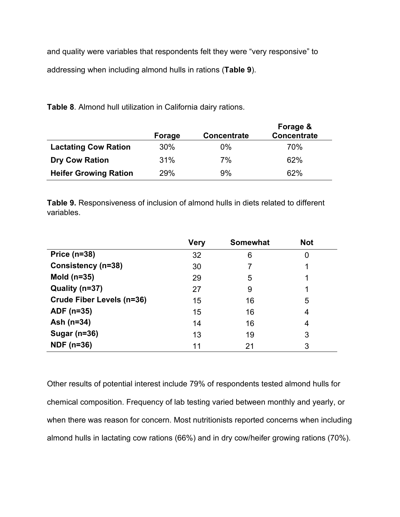and quality were variables that respondents felt they were "very responsive" to addressing when including almond hulls in rations (**Table 9**).

**Table 8**. Almond hull utilization in California dairy rations.

|                              | Forage | <b>Concentrate</b> | Forage &<br><b>Concentrate</b> |
|------------------------------|--------|--------------------|--------------------------------|
| <b>Lactating Cow Ration</b>  | 30%    | $0\%$              | 70%                            |
| <b>Dry Cow Ration</b>        | 31%    | 7%                 | 62%                            |
| <b>Heifer Growing Ration</b> | 29%    | 9%                 | 62%                            |

**Table 9.** Responsiveness of inclusion of almond hulls in diets related to different variables.

|                           | <b>Very</b> | <b>Somewhat</b> | <b>Not</b> |
|---------------------------|-------------|-----------------|------------|
| Price $(n=38)$            | 32          | 6               | 0          |
| Consistency (n=38)        | 30          |                 |            |
| Mold $(n=35)$             | 29          | 5               |            |
| Quality (n=37)            | 27          | 9               |            |
| Crude Fiber Levels (n=36) | 15          | 16              | 5          |
| ADF (n=35)                | 15          | 16              | 4          |
| Ash (n=34)                | 14          | 16              | 4          |
| Sugar (n=36)              | 13          | 19              | 3          |
| <b>NDF</b> (n=36)         | 11          | 21              | 3          |

Other results of potential interest include 79% of respondents tested almond hulls for chemical composition. Frequency of lab testing varied between monthly and yearly, or when there was reason for concern. Most nutritionists reported concerns when including almond hulls in lactating cow rations (66%) and in dry cow/heifer growing rations (70%).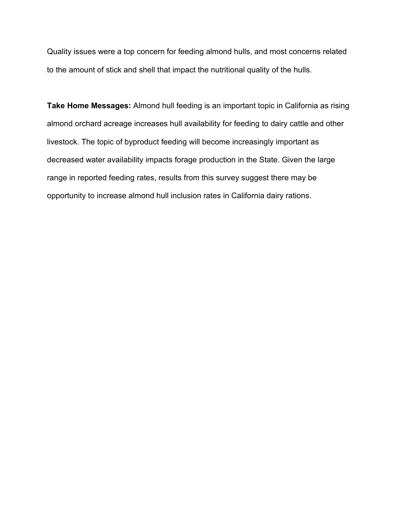Quality issues were a top concern for feeding almond hulls, and most concerns related to the amount of stick and shell that impact the nutritional quality of the hulls.

**Take Home Messages:** Almond hull feeding is an important topic in California as rising almond orchard acreage increases hull availability for feeding to dairy cattle and other livestock. The topic of byproduct feeding will become increasingly important as decreased water availability impacts forage production in the State. Given the large range in reported feeding rates, results from this survey suggest there may be opportunity to increase almond hull inclusion rates in California dairy rations.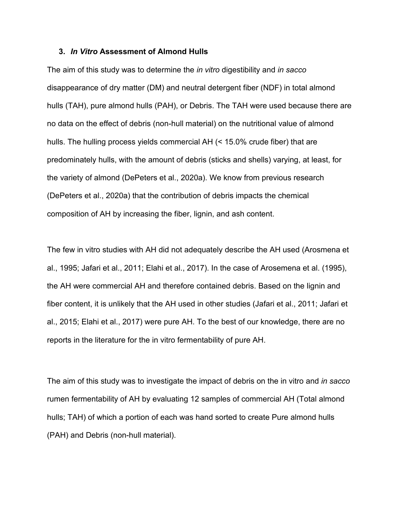### **3.** *In Vitro* **Assessment of Almond Hulls**

The aim of this study was to determine the *in vitro* digestibility and *in sacco* disappearance of dry matter (DM) and neutral detergent fiber (NDF) in total almond hulls (TAH), pure almond hulls (PAH), or Debris. The TAH were used because there are no data on the effect of debris (non-hull material) on the nutritional value of almond hulls. The hulling process yields commercial AH (< 15.0% crude fiber) that are predominately hulls, with the amount of debris (sticks and shells) varying, at least, for the variety of almond (DePeters et al., 2020a). We know from previous research (DePeters et al., 2020a) that the contribution of debris impacts the chemical composition of AH by increasing the fiber, lignin, and ash content.

The few in vitro studies with AH did not adequately describe the AH used (Arosmena et al., 1995; Jafari et al., 2011; Elahi et al., 2017). In the case of Arosemena et al. (1995), the AH were commercial AH and therefore contained debris. Based on the lignin and fiber content, it is unlikely that the AH used in other studies (Jafari et al., 2011; Jafari et al., 2015; Elahi et al., 2017) were pure AH. To the best of our knowledge, there are no reports in the literature for the in vitro fermentability of pure AH.

The aim of this study was to investigate the impact of debris on the in vitro and *in sacco* rumen fermentability of AH by evaluating 12 samples of commercial AH (Total almond hulls; TAH) of which a portion of each was hand sorted to create Pure almond hulls (PAH) and Debris (non-hull material).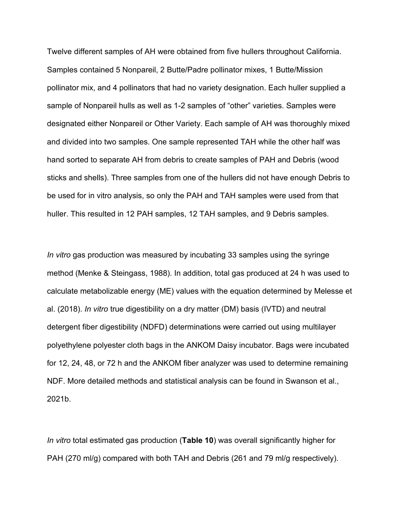Twelve different samples of AH were obtained from five hullers throughout California. Samples contained 5 Nonpareil, 2 Butte/Padre pollinator mixes, 1 Butte/Mission pollinator mix, and 4 pollinators that had no variety designation. Each huller supplied a sample of Nonpareil hulls as well as 1-2 samples of "other" varieties. Samples were designated either Nonpareil or Other Variety. Each sample of AH was thoroughly mixed and divided into two samples. One sample represented TAH while the other half was hand sorted to separate AH from debris to create samples of PAH and Debris (wood sticks and shells). Three samples from one of the hullers did not have enough Debris to be used for in vitro analysis, so only the PAH and TAH samples were used from that huller. This resulted in 12 PAH samples, 12 TAH samples, and 9 Debris samples.

*In vitro* gas production was measured by incubating 33 samples using the syringe method (Menke & Steingass, 1988). In addition, total gas produced at 24 h was used to calculate metabolizable energy (ME) values with the equation determined by Melesse et al. (2018). *In vitro* true digestibility on a dry matter (DM) basis (IVTD) and neutral detergent fiber digestibility (NDFD) determinations were carried out using multilayer polyethylene polyester cloth bags in the ANKOM Daisy incubator. Bags were incubated for 12, 24, 48, or 72 h and the ANKOM fiber analyzer was used to determine remaining NDF. More detailed methods and statistical analysis can be found in Swanson et al., 2021b.

*In vitro* total estimated gas production (**Table 10**) was overall significantly higher for PAH (270 ml/g) compared with both TAH and Debris (261 and 79 ml/g respectively).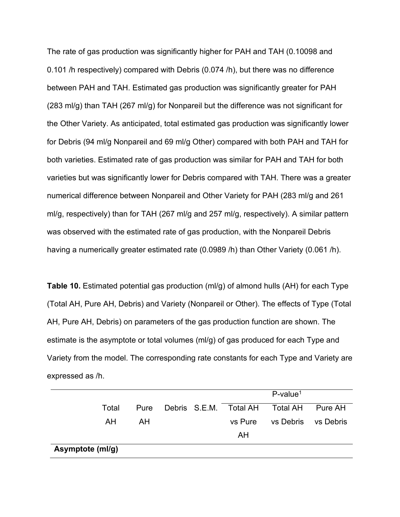The rate of gas production was significantly higher for PAH and TAH (0.10098 and 0.101 /h respectively) compared with Debris (0.074 /h), but there was no difference between PAH and TAH. Estimated gas production was significantly greater for PAH (283 ml/g) than TAH (267 ml/g) for Nonpareil but the difference was not significant for the Other Variety. As anticipated, total estimated gas production was significantly lower for Debris (94 ml/g Nonpareil and 69 ml/g Other) compared with both PAH and TAH for both varieties. Estimated rate of gas production was similar for PAH and TAH for both varieties but was significantly lower for Debris compared with TAH. There was a greater numerical difference between Nonpareil and Other Variety for PAH (283 ml/g and 261 ml/g, respectively) than for TAH (267 ml/g and 257 ml/g, respectively). A similar pattern was observed with the estimated rate of gas production, with the Nonpareil Debris having a numerically greater estimated rate (0.0989 /h) than Other Variety (0.061 /h).

**Table 10.** Estimated potential gas production (ml/g) of almond hulls (AH) for each Type (Total AH, Pure AH, Debris) and Variety (Nonpareil or Other). The effects of Type (Total AH, Pure AH, Debris) on parameters of the gas production function are shown. The estimate is the asymptote or total volumes (ml/g) of gas produced for each Type and Variety from the model. The corresponding rate constants for each Type and Variety are expressed as /h.

|                  |       |      |  |         | $P$ -value <sup>1</sup>                 |           |
|------------------|-------|------|--|---------|-----------------------------------------|-----------|
|                  | Total | Pure |  |         | Debris S.E.M. Total AH Total AH Pure AH |           |
|                  | AH.   | AH.  |  | vs Pure | vs Debris                               | vs Debris |
|                  |       |      |  | AH      |                                         |           |
| Asymptote (ml/g) |       |      |  |         |                                         |           |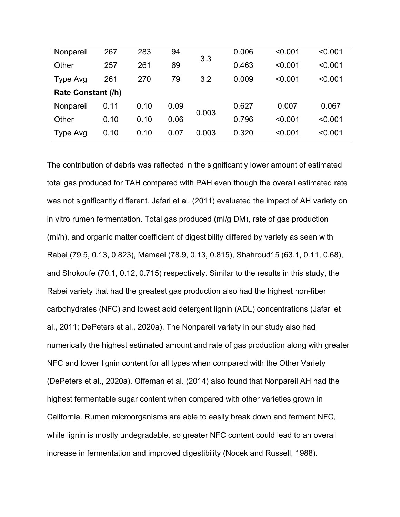| Nonpareil          | 267  | 283  | 94   |       | 0.006 | < 0.001 | < 0.001 |
|--------------------|------|------|------|-------|-------|---------|---------|
| Other              | 257  | 261  | 69   | 3.3   | 0.463 | < 0.001 | < 0.001 |
| Type Avg           | 261  | 270  | 79   | 3.2   | 0.009 | < 0.001 | < 0.001 |
| Rate Constant (/h) |      |      |      |       |       |         |         |
| Nonpareil          | 0.11 | 0.10 | 0.09 | 0.003 | 0.627 | 0.007   | 0.067   |
| Other              | 0.10 | 0.10 | 0.06 |       | 0.796 | < 0.001 | < 0.001 |
| Type Avg           | 0.10 | 0.10 | 0.07 | 0.003 | 0.320 | < 0.001 | < 0.001 |
|                    |      |      |      |       |       |         |         |

The contribution of debris was reflected in the significantly lower amount of estimated total gas produced for TAH compared with PAH even though the overall estimated rate was not significantly different. Jafari et al. (2011) evaluated the impact of AH variety on in vitro rumen fermentation. Total gas produced (ml/g DM), rate of gas production (ml/h), and organic matter coefficient of digestibility differed by variety as seen with Rabei (79.5, 0.13, 0.823), Mamaei (78.9, 0.13, 0.815), Shahroud15 (63.1, 0.11, 0.68), and Shokoufe (70.1, 0.12, 0.715) respectively. Similar to the results in this study, the Rabei variety that had the greatest gas production also had the highest non-fiber carbohydrates (NFC) and lowest acid detergent lignin (ADL) concentrations (Jafari et al., 2011; DePeters et al., 2020a). The Nonpareil variety in our study also had numerically the highest estimated amount and rate of gas production along with greater NFC and lower lignin content for all types when compared with the Other Variety (DePeters et al., 2020a). Offeman et al. (2014) also found that Nonpareil AH had the highest fermentable sugar content when compared with other varieties grown in California. Rumen microorganisms are able to easily break down and ferment NFC, while lignin is mostly undegradable, so greater NFC content could lead to an overall increase in fermentation and improved digestibility (Nocek and Russell, 1988).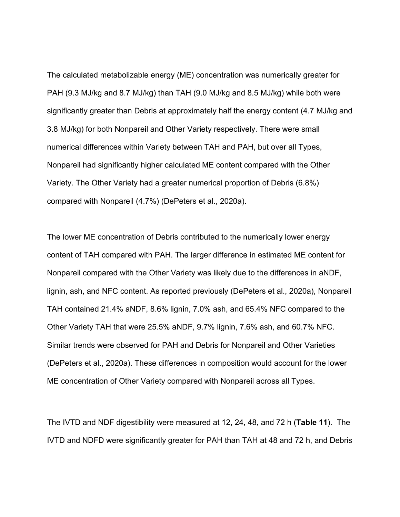The calculated metabolizable energy (ME) concentration was numerically greater for PAH (9.3 MJ/kg and 8.7 MJ/kg) than TAH (9.0 MJ/kg and 8.5 MJ/kg) while both were significantly greater than Debris at approximately half the energy content (4.7 MJ/kg and 3.8 MJ/kg) for both Nonpareil and Other Variety respectively. There were small numerical differences within Variety between TAH and PAH, but over all Types, Nonpareil had significantly higher calculated ME content compared with the Other Variety. The Other Variety had a greater numerical proportion of Debris (6.8%) compared with Nonpareil (4.7%) (DePeters et al., 2020a).

The lower ME concentration of Debris contributed to the numerically lower energy content of TAH compared with PAH. The larger difference in estimated ME content for Nonpareil compared with the Other Variety was likely due to the differences in aNDF, lignin, ash, and NFC content. As reported previously (DePeters et al., 2020a), Nonpareil TAH contained 21.4% aNDF, 8.6% lignin, 7.0% ash, and 65.4% NFC compared to the Other Variety TAH that were 25.5% aNDF, 9.7% lignin, 7.6% ash, and 60.7% NFC. Similar trends were observed for PAH and Debris for Nonpareil and Other Varieties (DePeters et al., 2020a). These differences in composition would account for the lower ME concentration of Other Variety compared with Nonpareil across all Types.

The IVTD and NDF digestibility were measured at 12, 24, 48, and 72 h (**Table 11**). The IVTD and NDFD were significantly greater for PAH than TAH at 48 and 72 h, and Debris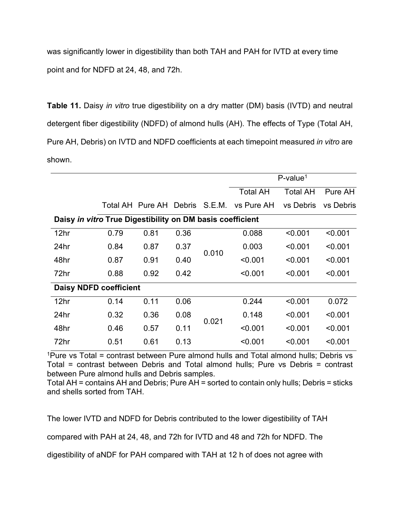was significantly lower in digestibility than both TAH and PAH for IVTD at every time point and for NDFD at 24, 48, and 72h.

**Table 11.** Daisy *in vitro* true digestibility on a dry matter (DM) basis (IVTD) and neutral detergent fiber digestibility (NDFD) of almond hulls (AH). The effects of Type (Total AH, Pure AH, Debris) on IVTD and NDFD coefficients at each timepoint measured *in vitro* are shown.

| $P$ -value <sup>1</sup>                                   |      |                         |      |        |                 |                 |           |
|-----------------------------------------------------------|------|-------------------------|------|--------|-----------------|-----------------|-----------|
|                                                           |      |                         |      |        | <b>Total AH</b> | <b>Total AH</b> | Pure AH   |
|                                                           |      | Total AH Pure AH Debris |      | S.E.M. | vs Pure AH      | vs Debris       | vs Debris |
| Daisy in vitro True Digestibility on DM basis coefficient |      |                         |      |        |                 |                 |           |
| 12hr                                                      | 0.79 | 0.81                    | 0.36 |        | 0.088           | < 0.001         | < 0.001   |
| 24hr                                                      | 0.84 | 0.87                    | 0.37 | 0.010  | 0.003           | < 0.001         | < 0.001   |
| 48hr                                                      | 0.87 | 0.91                    | 0.40 |        | < 0.001         | < 0.001         | < 0.001   |
| 72hr                                                      | 0.88 | 0.92                    | 0.42 |        | < 0.001         | < 0.001         | < 0.001   |
| <b>Daisy NDFD coefficient</b>                             |      |                         |      |        |                 |                 |           |
| 12 <sub>hr</sub>                                          | 0.14 | 0.11                    | 0.06 |        | 0.244           | < 0.001         | 0.072     |
| 24hr                                                      | 0.32 | 0.36                    | 0.08 | 0.021  | 0.148           | < 0.001         | < 0.001   |
| 48hr                                                      | 0.46 | 0.57                    | 0.11 |        | < 0.001         | < 0.001         | < 0.001   |
| 72hr                                                      | 0.51 | 0.61                    | 0.13 |        | < 0.001         | < 0.001         | < 0.001   |

<sup>1</sup>Pure vs Total = contrast between Pure almond hulls and Total almond hulls; Debris vs Total = contrast between Debris and Total almond hulls; Pure vs Debris = contrast between Pure almond hulls and Debris samples.

Total AH = contains AH and Debris; Pure AH = sorted to contain only hulls; Debris = sticks and shells sorted from TAH.

The lower IVTD and NDFD for Debris contributed to the lower digestibility of TAH

compared with PAH at 24, 48, and 72h for IVTD and 48 and 72h for NDFD. The

digestibility of aNDF for PAH compared with TAH at 12 h of does not agree with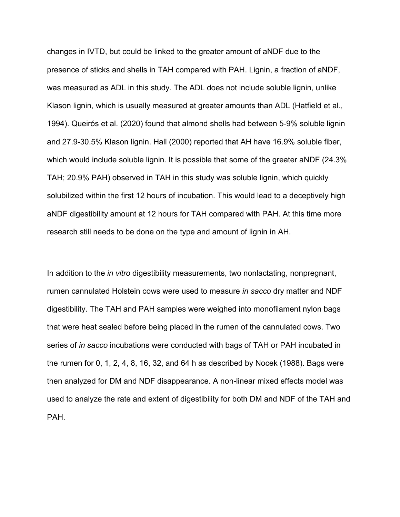changes in IVTD, but could be linked to the greater amount of aNDF due to the presence of sticks and shells in TAH compared with PAH. Lignin, a fraction of aNDF, was measured as ADL in this study. The ADL does not include soluble lignin, unlike Klason lignin, which is usually measured at greater amounts than ADL (Hatfield et al., 1994). Queirós et al. (2020) found that almond shells had between 5-9% soluble lignin and 27.9-30.5% Klason lignin. Hall (2000) reported that AH have 16.9% soluble fiber, which would include soluble lignin. It is possible that some of the greater aNDF (24.3%) TAH; 20.9% PAH) observed in TAH in this study was soluble lignin, which quickly solubilized within the first 12 hours of incubation. This would lead to a deceptively high aNDF digestibility amount at 12 hours for TAH compared with PAH. At this time more research still needs to be done on the type and amount of lignin in AH.

In addition to the *in vitro* digestibility measurements, two nonlactating, nonpregnant, rumen cannulated Holstein cows were used to measure *in sacco* dry matter and NDF digestibility. The TAH and PAH samples were weighed into monofilament nylon bags that were heat sealed before being placed in the rumen of the cannulated cows. Two series of *in sacco* incubations were conducted with bags of TAH or PAH incubated in the rumen for 0, 1, 2, 4, 8, 16, 32, and 64 h as described by Nocek (1988). Bags were then analyzed for DM and NDF disappearance. A non-linear mixed effects model was used to analyze the rate and extent of digestibility for both DM and NDF of the TAH and PAH.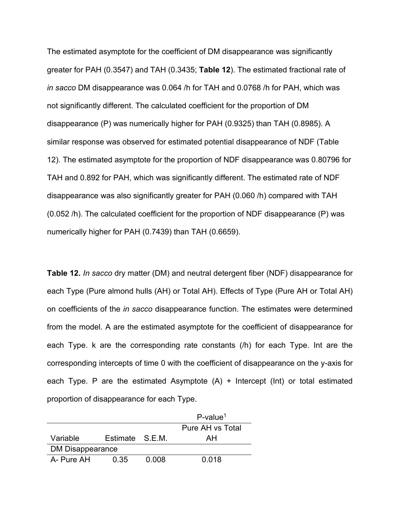The estimated asymptote for the coefficient of DM disappearance was significantly greater for PAH (0.3547) and TAH (0.3435; **Table 12**). The estimated fractional rate of *in sacco* DM disappearance was 0.064 /h for TAH and 0.0768 /h for PAH, which was not significantly different. The calculated coefficient for the proportion of DM disappearance (P) was numerically higher for PAH (0.9325) than TAH (0.8985). A similar response was observed for estimated potential disappearance of NDF (Table 12). The estimated asymptote for the proportion of NDF disappearance was 0.80796 for TAH and 0.892 for PAH, which was significantly different. The estimated rate of NDF disappearance was also significantly greater for PAH (0.060 /h) compared with TAH (0.052 /h). The calculated coefficient for the proportion of NDF disappearance (P) was numerically higher for PAH (0.7439) than TAH (0.6659).

**Table 12.** *In sacco* dry matter (DM) and neutral detergent fiber (NDF) disappearance for each Type (Pure almond hulls (AH) or Total AH). Effects of Type (Pure AH or Total AH) on coefficients of the *in sacco* disappearance function. The estimates were determined from the model. A are the estimated asymptote for the coefficient of disappearance for each Type. k are the corresponding rate constants (/h) for each Type. Int are the corresponding intercepts of time 0 with the coefficient of disappearance on the y-axis for each Type. P are the estimated Asymptote  $(A)$  + Intercept (Int) or total estimated proportion of disappearance for each Type.

|                  |              |       | $P$ -value <sup>1</sup> |  |  |
|------------------|--------------|-------|-------------------------|--|--|
|                  |              |       | Pure AH vs Total        |  |  |
| Variable         | Estimate SFM |       | AН                      |  |  |
| DM Disappearance |              |       |                         |  |  |
| A- Pure AH       | 0.35         | 0.008 | 0.018                   |  |  |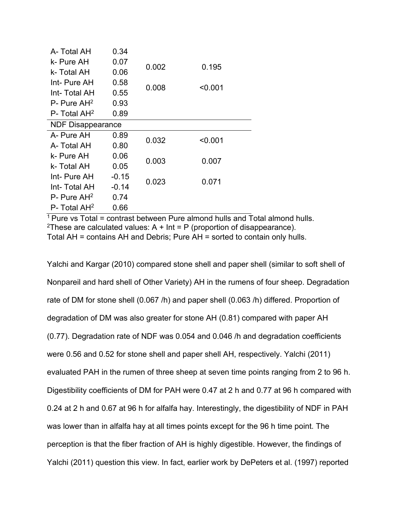| A- Total AH                | 0.34    |       |         |
|----------------------------|---------|-------|---------|
| k- Pure AH                 | 0.07    | 0.002 | 0.195   |
| k- Total AH                | 0.06    |       |         |
| Int- Pure AH               | 0.58    | 0.008 |         |
| Int-Total AH               | 0.55    |       | < 0.001 |
| $P -$ Pure AH <sup>2</sup> | 0.93    |       |         |
| $P-$ Total AH <sup>2</sup> | 0.89    |       |         |
| <b>NDF Disappearance</b>   |         |       |         |
| A- Pure AH                 | 0.89    | 0.032 | < 0.001 |
| A- Total AH                | 0.80    |       |         |
| k- Pure AH                 | 0.06    | 0.003 | 0.007   |
| k- Total AH                | 0.05    |       |         |
| Int- Pure AH               | $-0.15$ |       |         |
| Int- Total AH              | $-0.14$ | 0.023 | 0.071   |
| $P -$ Pure AH <sup>2</sup> | 0.74    |       |         |
| P- Total AH <sup>2</sup>   | 0.66    |       |         |

 $1$  Pure vs Total = contrast between Pure almond hulls and Total almond hulls. <sup>2</sup>These are calculated values:  $A + Int = P$  (proportion of disappearance). Total AH = contains AH and Debris; Pure AH = sorted to contain only hulls.

Yalchi and Kargar (2010) compared stone shell and paper shell (similar to soft shell of Nonpareil and hard shell of Other Variety) AH in the rumens of four sheep. Degradation rate of DM for stone shell (0.067 /h) and paper shell (0.063 /h) differed. Proportion of degradation of DM was also greater for stone AH (0.81) compared with paper AH (0.77). Degradation rate of NDF was 0.054 and 0.046 /h and degradation coefficients were 0.56 and 0.52 for stone shell and paper shell AH, respectively. Yalchi (2011) evaluated PAH in the rumen of three sheep at seven time points ranging from 2 to 96 h. Digestibility coefficients of DM for PAH were 0.47 at 2 h and 0.77 at 96 h compared with 0.24 at 2 h and 0.67 at 96 h for alfalfa hay. Interestingly, the digestibility of NDF in PAH was lower than in alfalfa hay at all times points except for the 96 h time point. The perception is that the fiber fraction of AH is highly digestible. However, the findings of Yalchi (2011) question this view. In fact, earlier work by DePeters et al. (1997) reported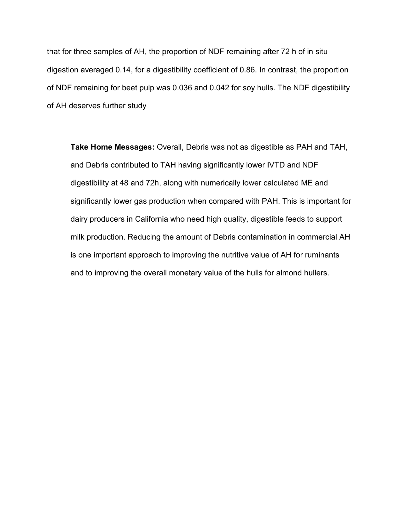that for three samples of AH, the proportion of NDF remaining after 72 h of in situ digestion averaged 0.14, for a digestibility coefficient of 0.86. In contrast, the proportion of NDF remaining for beet pulp was 0.036 and 0.042 for soy hulls. The NDF digestibility of AH deserves further study

**Take Home Messages:** Overall, Debris was not as digestible as PAH and TAH, and Debris contributed to TAH having significantly lower IVTD and NDF digestibility at 48 and 72h, along with numerically lower calculated ME and significantly lower gas production when compared with PAH. This is important for dairy producers in California who need high quality, digestible feeds to support milk production. Reducing the amount of Debris contamination in commercial AH is one important approach to improving the nutritive value of AH for ruminants and to improving the overall monetary value of the hulls for almond hullers.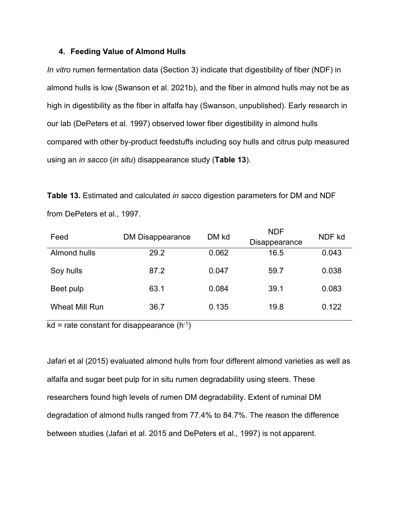### **4. Feeding Value of Almond Hulls**

*In vitro* rumen fermentation data (Section 3) indicate that digestibility of fiber (NDF) in almond hulls is low (Swanson et al. 2021b), and the fiber in almond hulls may not be as high in digestibility as the fiber in alfalfa hay (Swanson, unpublished). Early research in our lab (DePeters et al. 1997) observed lower fiber digestibility in almond hulls compared with other by-product feedstuffs including soy hulls and citrus pulp measured using an *in sacco* (*in situ*) disappearance study (**Table 13**).

|                             |  | <b>Table 13.</b> Estimated and calculated <i>in sacco</i> digestion parameters for DM and NDF |
|-----------------------------|--|-----------------------------------------------------------------------------------------------|
| from DePeters et al., 1997. |  |                                                                                               |

| Feed                  | <b>DM Disappearance</b> | DM kd | <b>NDF</b><br>Disappearance | NDF kd |
|-----------------------|-------------------------|-------|-----------------------------|--------|
| Almond hulls          | 29.2                    | 0.062 | 16.5                        | 0.043  |
| Soy hulls             | 87.2                    | 0.047 | 59.7                        | 0.038  |
| Beet pulp             | 63.1                    | 0.084 | 39.1                        | 0.083  |
| <b>Wheat Mill Run</b> | 36.7                    | 0.135 | 19.8                        | 0.122  |

 $kd$  = rate constant for disappearance (h<sup>-1</sup>)

Jafari et al (2015) evaluated almond hulls from four different almond varieties as well as alfalfa and sugar beet pulp for in situ rumen degradability using steers. These researchers found high levels of rumen DM degradability. Extent of ruminal DM degradation of almond hulls ranged from 77.4% to 84.7%. The reason the difference between studies (Jafari et al. 2015 and DePeters et al., 1997) is not apparent.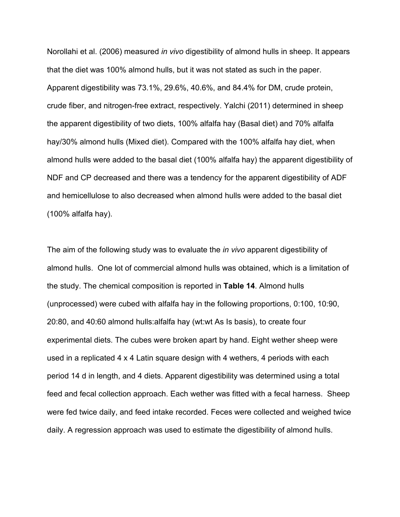Norollahi et al. (2006) measured *in vivo* digestibility of almond hulls in sheep. It appears that the diet was 100% almond hulls, but it was not stated as such in the paper. Apparent digestibility was 73.1%, 29.6%, 40.6%, and 84.4% for DM, crude protein, crude fiber, and nitrogen-free extract, respectively. Yalchi (2011) determined in sheep the apparent digestibility of two diets, 100% alfalfa hay (Basal diet) and 70% alfalfa hay/30% almond hulls (Mixed diet). Compared with the 100% alfalfa hay diet, when almond hulls were added to the basal diet (100% alfalfa hay) the apparent digestibility of NDF and CP decreased and there was a tendency for the apparent digestibility of ADF and hemicellulose to also decreased when almond hulls were added to the basal diet (100% alfalfa hay).

The aim of the following study was to evaluate the *in vivo* apparent digestibility of almond hulls. One lot of commercial almond hulls was obtained, which is a limitation of the study. The chemical composition is reported in **Table 14**. Almond hulls (unprocessed) were cubed with alfalfa hay in the following proportions, 0:100, 10:90, 20:80, and 40:60 almond hulls:alfalfa hay (wt:wt As Is basis), to create four experimental diets. The cubes were broken apart by hand. Eight wether sheep were used in a replicated 4 x 4 Latin square design with 4 wethers, 4 periods with each period 14 d in length, and 4 diets. Apparent digestibility was determined using a total feed and fecal collection approach. Each wether was fitted with a fecal harness. Sheep were fed twice daily, and feed intake recorded. Feces were collected and weighed twice daily. A regression approach was used to estimate the digestibility of almond hulls.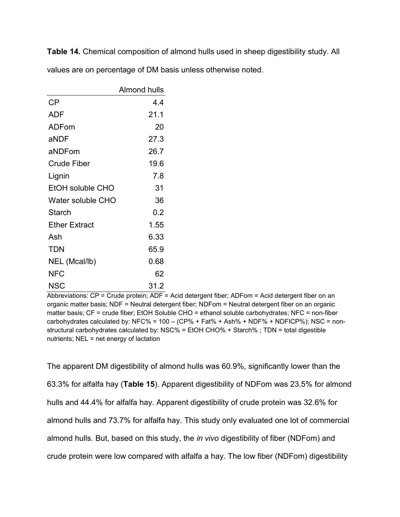**Table 14.** Chemical composition of almond hulls used in sheep digestibility study. All values are on percentage of DM basis unless otherwise noted.

|                      | Almond hulls |
|----------------------|--------------|
| CP                   | 4.4          |
| ADF                  | 21.1         |
| ADFom                | 20           |
| aNDF                 | 27.3         |
| aNDFom               | 26.7         |
| <b>Crude Fiber</b>   | 19.6         |
| Lignin               | 7.8          |
| EtOH soluble CHO     | 31           |
| Water soluble CHO    | 36           |
| <b>Starch</b>        | 0.2          |
| <b>Ether Extract</b> | 1.55         |
| Ash                  | 6.33         |
| <b>TDN</b>           | 65.9         |
| NEL (Mcal/lb)        | 0.68         |
| NFC                  | 62           |
| NSC                  | 31.2         |

Abbreviations: CP = Crude protein; ADF = Acid detergent fiber; ADFom = Acid detergent fiber on an organic matter basis; NDF = Neutral detergent fiber; NDFom = Neutral detergent fiber on an organic matter basis; CF = crude fiber; EtOH Soluble CHO = ethanol soluble carbohydrates; NFC = non-fiber carbohydrates calculated by: NFC% =  $100 - (CP% + Fat% + Ash% + NDF% + NDFICP%); NSC = non$ structural carbohydrates calculated by: NSC% = EtOH CHO% + Starch% ; TDN = total digestible nutrients; NEL = net energy of lactation

The apparent DM digestibility of almond hulls was 60.9%, significantly lower than the 63.3% for alfalfa hay (**Table 15**). Apparent digestibility of NDFom was 23.5% for almond hulls and 44.4% for alfalfa hay. Apparent digestibility of crude protein was 32.6% for almond hulls and 73.7% for alfalfa hay. This study only evaluated one lot of commercial almond hulls. But, based on this study, the *in vivo* digestibility of fiber (NDFom) and crude protein were low compared with alfalfa a hay. The low fiber (NDFom) digestibility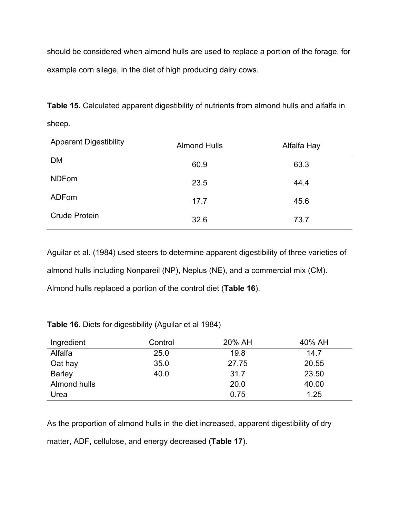should be considered when almond hulls are used to replace a portion of the forage, for example corn silage, in the diet of high producing dairy cows.

**Table 15.** Calculated apparent digestibility of nutrients from almond hulls and alfalfa in sheep.

| <b>Apparent Digestibility</b> | <b>Almond Hulls</b> | Alfalfa Hay |
|-------------------------------|---------------------|-------------|
| <b>DM</b>                     | 60.9                | 63.3        |
| <b>NDFom</b>                  | 23.5                | 44.4        |
| ADFom                         | 17.7                | 45.6        |
| <b>Crude Protein</b>          | 32.6                | 73.7        |

Aguilar et al. (1984) used steers to determine apparent digestibility of three varieties of almond hulls including Nonpareil (NP), Neplus (NE), and a commercial mix (CM). Almond hulls replaced a portion of the control diet (**Table 16**).

**Table 16.** Diets for digestibility (Aguilar et al 1984)

| Ingredient    | Control | 20% AH | 40% AH |
|---------------|---------|--------|--------|
| Alfalfa       | 25.0    | 19.8   | 14.7   |
| Oat hay       | 35.0    | 27.75  | 20.55  |
| <b>Barley</b> | 40.0    | 31.7   | 23.50  |
| Almond hulls  |         | 20.0   | 40.00  |
| Urea          |         | 0.75   | 1.25   |

As the proportion of almond hulls in the diet increased, apparent digestibility of dry matter, ADF, cellulose, and energy decreased (**Table 17**).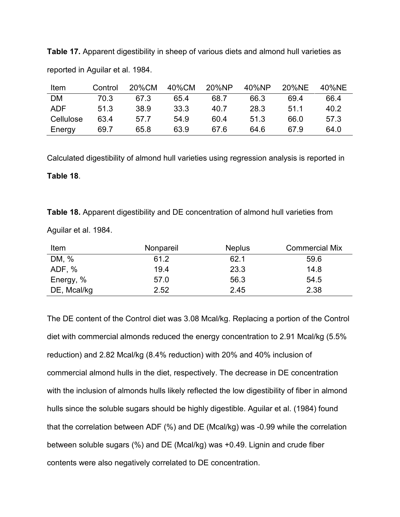**Table 17.** Apparent digestibility in sheep of various diets and almond hull varieties as reported in Aguilar et al. 1984.

| Item       | Control | 20%CM | 40%CM | 20%NP | 40%NP | 20%NE | 40%NE |
|------------|---------|-------|-------|-------|-------|-------|-------|
| <b>DM</b>  | 70.3    | 67.3  | 65.4  | 68.7  | 66.3  | 69.4  | 66.4  |
| <b>ADF</b> | 51.3    | 38.9  | 33.3  | 40.7  | 28.3  | 51.1  | 40.2  |
| Cellulose  | 634     | 57.7  | 54.9  | 60.4  | 51.3  | 66.0  | 57.3  |
| Energy     | 69.7    | 65.8  | 63.9  | 67.6  | 64.6  | 67.9  | 64.0  |

Calculated digestibility of almond hull varieties using regression analysis is reported in

## **Table 18**.

**Table 18.** Apparent digestibility and DE concentration of almond hull varieties from

Aguilar et al. 1984.

| Item        | Nonpareil | <b>Neplus</b> | <b>Commercial Mix</b> |
|-------------|-----------|---------------|-----------------------|
| DM, %       | 61.2      | 62.1          | 59.6                  |
| ADF, %      | 19.4      | 23.3          | 14.8                  |
| Energy, %   | 57.0      | 56.3          | 54.5                  |
| DE, Mcal/kg | 2.52      | 2.45          | 2.38                  |

The DE content of the Control diet was 3.08 Mcal/kg. Replacing a portion of the Control diet with commercial almonds reduced the energy concentration to 2.91 Mcal/kg (5.5% reduction) and 2.82 Mcal/kg (8.4% reduction) with 20% and 40% inclusion of commercial almond hulls in the diet, respectively. The decrease in DE concentration with the inclusion of almonds hulls likely reflected the low digestibility of fiber in almond hulls since the soluble sugars should be highly digestible. Aguilar et al. (1984) found that the correlation between ADF (%) and DE (Mcal/kg) was -0.99 while the correlation between soluble sugars (%) and DE (Mcal/kg) was +0.49. Lignin and crude fiber contents were also negatively correlated to DE concentration.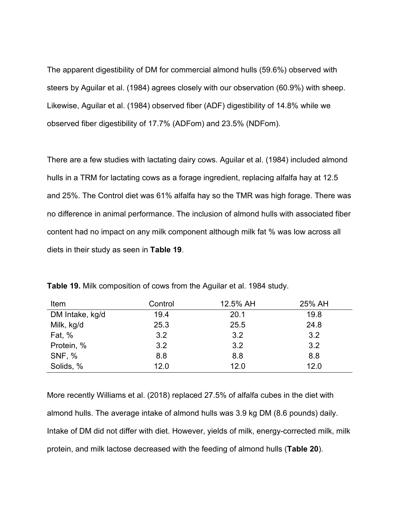The apparent digestibility of DM for commercial almond hulls (59.6%) observed with steers by Aguilar et al. (1984) agrees closely with our observation (60.9%) with sheep. Likewise, Aguilar et al. (1984) observed fiber (ADF) digestibility of 14.8% while we observed fiber digestibility of 17.7% (ADFom) and 23.5% (NDFom).

There are a few studies with lactating dairy cows. Aguilar et al. (1984) included almond hulls in a TRM for lactating cows as a forage ingredient, replacing alfalfa hay at 12.5 and 25%. The Control diet was 61% alfalfa hay so the TMR was high forage. There was no difference in animal performance. The inclusion of almond hulls with associated fiber content had no impact on any milk component although milk fat % was low across all diets in their study as seen in **Table 19**.

| Item            | Control | 12.5% AH | 25% AH |
|-----------------|---------|----------|--------|
| DM Intake, kg/d | 19.4    | 20.1     | 19.8   |
| Milk, kg/d      | 25.3    | 25.5     | 24.8   |
| <b>Fat, %</b>   | 3.2     | 3.2      | 3.2    |
| Protein, %      | 3.2     | 3.2      | 3.2    |
| <b>SNF, %</b>   | 8.8     | 8.8      | 8.8    |
| Solids, %       | 12.0    | 12.0     | 12.0   |

**Table 19.** Milk composition of cows from the Aguilar et al. 1984 study.

More recently Williams et al. (2018) replaced 27.5% of alfalfa cubes in the diet with almond hulls. The average intake of almond hulls was 3.9 kg DM (8.6 pounds) daily. Intake of DM did not differ with diet. However, yields of milk, energy-corrected milk, milk protein, and milk lactose decreased with the feeding of almond hulls (**Table 20**).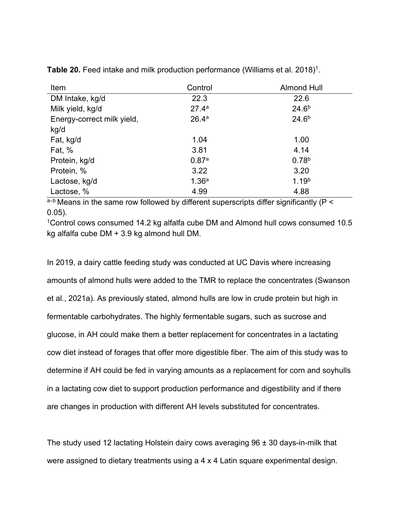| Item                       | Control           | <b>Almond Hull</b> |
|----------------------------|-------------------|--------------------|
| DM Intake, kg/d            | 22.3              | 22.6               |
| Milk yield, kg/d           | 27.4 <sup>a</sup> | 24.6 <sup>b</sup>  |
| Energy-correct milk yield, | 26.4 <sup>a</sup> | $24.6^{b}$         |
| kg/d                       |                   |                    |
| Fat, kg/d                  | 1.04              | 1.00               |
| Fat, %                     | 3.81              | 4.14               |
| Protein, kg/d              | 0.87a             | 0.78 <sup>b</sup>  |
| Protein, %                 | 3.22              | 3.20               |
| Lactose, kg/d              | 1.36 <sup>a</sup> | 1.19 <sup>b</sup>  |
| Lactose, %                 | 4.99              | 4.88               |

**Table 20.** Feed intake and milk production performance (Williams et al. 2018)<sup>1</sup>.

 $a-b$  Means in the same row followed by different superscripts differ significantly ( $P <$ 0.05).

1Control cows consumed 14.2 kg alfalfa cube DM and Almond hull cows consumed 10.5 kg alfalfa cube DM + 3.9 kg almond hull DM.

In 2019, a dairy cattle feeding study was conducted at UC Davis where increasing amounts of almond hulls were added to the TMR to replace the concentrates (Swanson et al., 2021a). As previously stated, almond hulls are low in crude protein but high in fermentable carbohydrates. The highly fermentable sugars, such as sucrose and glucose, in AH could make them a better replacement for concentrates in a lactating cow diet instead of forages that offer more digestible fiber. The aim of this study was to determine if AH could be fed in varying amounts as a replacement for corn and soyhulls in a lactating cow diet to support production performance and digestibility and if there are changes in production with different AH levels substituted for concentrates.

The study used 12 lactating Holstein dairy cows averaging 96 ± 30 days-in-milk that were assigned to dietary treatments using a 4 x 4 Latin square experimental design.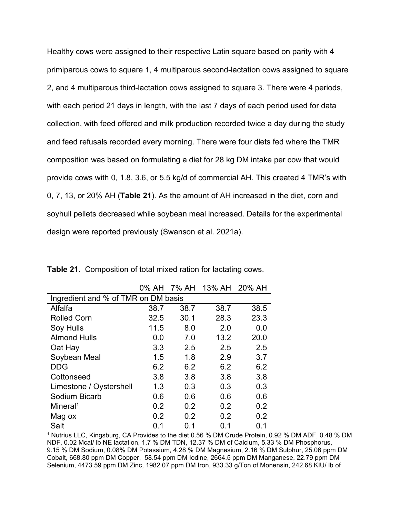Healthy cows were assigned to their respective Latin square based on parity with 4 primiparous cows to square 1, 4 multiparous second-lactation cows assigned to square 2, and 4 multiparous third-lactation cows assigned to square 3. There were 4 periods, with each period 21 days in length, with the last 7 days of each period used for data collection, with feed offered and milk production recorded twice a day during the study and feed refusals recorded every morning. There were four diets fed where the TMR composition was based on formulating a diet for 28 kg DM intake per cow that would provide cows with 0, 1.8, 3.6, or 5.5 kg/d of commercial AH. This created 4 TMR's with 0, 7, 13, or 20% AH (**Table 21**). As the amount of AH increased in the diet, corn and soyhull pellets decreased while soybean meal increased. Details for the experimental design were reported previously (Swanson et al. 2021a).

|                                     |      |      | 0% AH 7% AH 13% AH 20% AH |      |  |  |  |  |  |
|-------------------------------------|------|------|---------------------------|------|--|--|--|--|--|
| Ingredient and % of TMR on DM basis |      |      |                           |      |  |  |  |  |  |
| Alfalfa                             | 38.7 | 38.7 | 38.7                      | 38.5 |  |  |  |  |  |
| <b>Rolled Corn</b>                  | 32.5 | 30.1 | 28.3                      | 23.3 |  |  |  |  |  |
| Soy Hulls                           | 11.5 | 8.0  | 2.0                       | 0.0  |  |  |  |  |  |
| <b>Almond Hulls</b>                 | 0.0  | 7.0  | 13.2                      | 20.0 |  |  |  |  |  |
| Oat Hay                             | 3.3  | 2.5  | 2.5                       | 2.5  |  |  |  |  |  |
| Soybean Meal                        | 1.5  | 1.8  | 2.9                       | 3.7  |  |  |  |  |  |
| <b>DDG</b>                          | 6.2  | 6.2  | 6.2                       | 6.2  |  |  |  |  |  |
| Cottonseed                          | 3.8  | 3.8  | 3.8                       | 3.8  |  |  |  |  |  |
| Limestone / Oystershell             | 1.3  | 0.3  | 0.3                       | 0.3  |  |  |  |  |  |
| Sodium Bicarb                       | 0.6  | 0.6  | 0.6                       | 0.6  |  |  |  |  |  |
| Mineral <sup>1</sup>                | 0.2  | 0.2  | 0.2                       | 0.2  |  |  |  |  |  |
| Mag ox                              | 0.2  | 0.2  | 0.2                       | 0.2  |  |  |  |  |  |
| Salt                                | 0.1  | 0.1  | 0.1                       | 0.1  |  |  |  |  |  |

**Table 21.** Composition of total mixed ration for lactating cows.

<sup>1</sup> Nutrius LLC, Kingsburg, CA Provides to the diet 0.56 % DM Crude Protein, 0.92 % DM ADF, 0.48 % DM NDF, 0.02 Mcal/ lb NE lactation, 1.7 % DM TDN, 12.37 % DM of Calcium, 5.33 % DM Phosphorus, 9.15 % DM Sodium, 0.08% DM Potassium, 4.28 % DM Magnesium, 2.16 % DM Sulphur, 25.06 ppm DM Cobalt, 668.80 ppm DM Copper, 58.54 ppm DM Iodine, 2664.5 ppm DM Manganese, 22.79 ppm DM Selenium, 4473.59 ppm DM Zinc, 1982.07 ppm DM Iron, 933.33 g/Ton of Monensin, 242.68 KIU/ lb of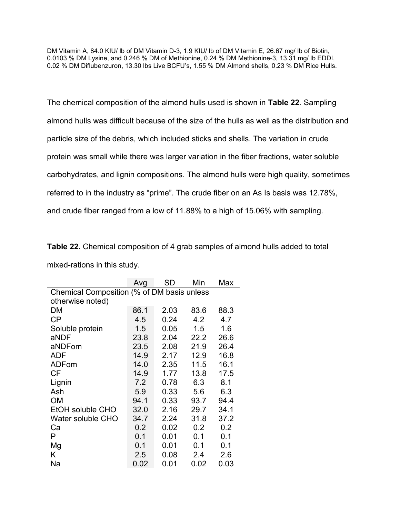DM Vitamin A, 84.0 KIU/ lb of DM Vitamin D-3, 1.9 KIU/ lb of DM Vitamin E, 26.67 mg/ lb of Biotin, 0.0103 % DM Lysine, and 0.246 % DM of Methionine, 0.24 % DM Methionine-3, 13.31 mg/ lb EDDI, 0.02 % DM Diflubenzuron, 13.30 lbs Live BCFU's, 1.55 % DM Almond shells, 0.23 % DM Rice Hulls.

The chemical composition of the almond hulls used is shown in **Table 22**. Sampling almond hulls was difficult because of the size of the hulls as well as the distribution and particle size of the debris, which included sticks and shells. The variation in crude protein was small while there was larger variation in the fiber fractions, water soluble carbohydrates, and lignin compositions. The almond hulls were high quality, sometimes referred to in the industry as "prime". The crude fiber on an As Is basis was 12.78%, and crude fiber ranged from a low of 11.88% to a high of 15.06% with sampling.

**Table 22.** Chemical composition of 4 grab samples of almond hulls added to total mixed-rations in this study.

|                                            | Avg  | SD   | Min  | Max  |  |  |  |  |  |  |
|--------------------------------------------|------|------|------|------|--|--|--|--|--|--|
| Chemical Composition (% of DM basis unless |      |      |      |      |  |  |  |  |  |  |
| otherwise noted)                           |      |      |      |      |  |  |  |  |  |  |
| DM                                         | 86.1 | 2.03 | 83.6 | 88.3 |  |  |  |  |  |  |
| CP                                         | 4.5  | 0.24 | 4.2  | 4.7  |  |  |  |  |  |  |
| Soluble protein                            | 1.5  | 0.05 | 1.5  | 1.6  |  |  |  |  |  |  |
| aNDF                                       | 23.8 | 2.04 | 22.2 | 26.6 |  |  |  |  |  |  |
| aNDFom                                     | 23.5 | 2.08 | 21.9 | 26.4 |  |  |  |  |  |  |
| ADF                                        | 14.9 | 2.17 | 12.9 | 16.8 |  |  |  |  |  |  |
| ADFom                                      | 14.0 | 2.35 | 11.5 | 16.1 |  |  |  |  |  |  |
| CF                                         | 14.9 | 1.77 | 13.8 | 17.5 |  |  |  |  |  |  |
| Lignin                                     | 7.2  | 0.78 | 6.3  | 8.1  |  |  |  |  |  |  |
| Ash                                        | 5.9  | 0.33 | 5.6  | 6.3  |  |  |  |  |  |  |
| <b>OM</b>                                  | 94.1 | 0.33 | 93.7 | 94.4 |  |  |  |  |  |  |
| EtOH soluble CHO                           | 32.0 | 2.16 | 29.7 | 34.1 |  |  |  |  |  |  |
| Water soluble CHO                          | 34.7 | 2.24 | 31.8 | 37.2 |  |  |  |  |  |  |
| Ca                                         | 0.2  | 0.02 | 0.2  | 0.2  |  |  |  |  |  |  |
| P                                          | 0.1  | 0.01 | 0.1  | 0.1  |  |  |  |  |  |  |
| Mg                                         | 0.1  | 0.01 | 0.1  | 0.1  |  |  |  |  |  |  |
| Κ                                          | 2.5  | 0.08 | 2.4  | 2.6  |  |  |  |  |  |  |
| Na                                         | 0.02 | 0.01 | 0.02 | 0.03 |  |  |  |  |  |  |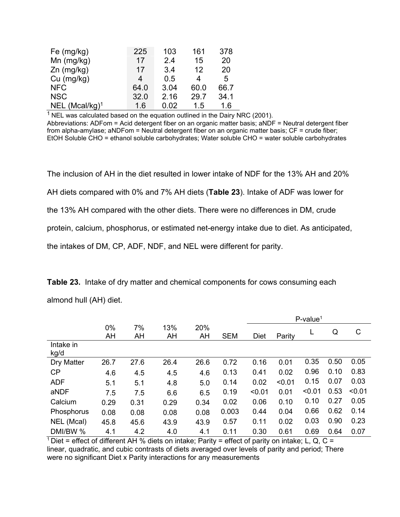| Fe $(mg/kg)$               | 225  | 103  | 161  | 378  |
|----------------------------|------|------|------|------|
| Mn $(mg/kg)$               | 17   | 2.4  | 15   | 20   |
| $Zn$ (mg/kg)               | 17   | 3.4  | 12   | 20   |
| $Cu$ (mg/kg)               | 4    | 0.5  | 4    | 5    |
| <b>NFC</b>                 | 64.0 | 3.04 | 60.0 | 66.7 |
| <b>NSC</b>                 | 32.0 | 2.16 | 29.7 | 34.1 |
| NEL (Mcal/kg) <sup>1</sup> | 1.6  | 0.02 | 1.5  | 1.6  |

 $1$  NEL was calculated based on the equation outlined in the Dairy NRC (2001). Abbreviations: ADFom = Acid detergent fiber on an organic matter basis; aNDF = Neutral detergent fiber from alpha-amylase; aNDFom = Neutral detergent fiber on an organic matter basis; CF = crude fiber; EtOH Soluble CHO = ethanol soluble carbohydrates; Water soluble CHO = water soluble carbohydrates

The inclusion of AH in the diet resulted in lower intake of NDF for the 13% AH and 20% AH diets compared with 0% and 7% AH diets (**Table 23**). Intake of ADF was lower for the 13% AH compared with the other diets. There were no differences in DM, crude protein, calcium, phosphorus, or estimated net-energy intake due to diet. As anticipated, the intakes of DM, CP, ADF, NDF, and NEL were different for parity.

|                   |          |          |           |           |            |             |        | $P$ -value <sup>1</sup> |      |        |
|-------------------|----------|----------|-----------|-----------|------------|-------------|--------|-------------------------|------|--------|
|                   | 0%<br>AH | 7%<br>AH | 13%<br>AH | 20%<br>AH | <b>SEM</b> | <b>Diet</b> | Parity | L                       | Q    | C      |
| Intake in<br>kg/d |          |          |           |           |            |             |        |                         |      |        |
| Dry Matter        | 26.7     | 27.6     | 26.4      | 26.6      | 0.72       | 0.16        | 0.01   | 0.35                    | 0.50 | 0.05   |
| CP                | 4.6      | 4.5      | 4.5       | 4.6       | 0.13       | 0.41        | 0.02   | 0.96                    | 0.10 | 0.83   |
| <b>ADF</b>        | 5.1      | 5.1      | 4.8       | 5.0       | 0.14       | 0.02        | < 0.01 | 0.15                    | 0.07 | 0.03   |
| aNDF              | 7.5      | 7.5      | 6.6       | 6.5       | 0.19       | < 0.01      | 0.01   | < 0.01                  | 0.53 | < 0.01 |
| Calcium           | 0.29     | 0.31     | 0.29      | 0.34      | 0.02       | 0.06        | 0.10   | 0.10                    | 0.27 | 0.05   |
| Phosphorus        | 0.08     | 0.08     | 0.08      | 0.08      | 0.003      | 0.44        | 0.04   | 0.66                    | 0.62 | 0.14   |
| NEL (Mcal)        | 45.8     | 45.6     | 43.9      | 43.9      | 0.57       | 0.11        | 0.02   | 0.03                    | 0.90 | 0.23   |
| DMI/BW %          | 4.1      | 4.2      | 4.0       | 4.1       | 0.11       | 0.30        | 0.61   | 0.69                    | 0.64 | 0.07   |

**Table 23.** Intake of dry matter and chemical components for cows consuming each almond hull (AH) diet.

 $1$  Diet = effect of different AH % diets on intake; Parity = effect of parity on intake; L, Q, C = linear, quadratic, and cubic contrasts of diets averaged over levels of parity and period; There were no significant Diet x Parity interactions for any measurements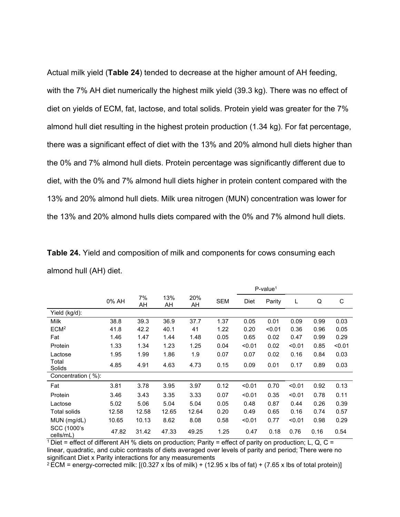Actual milk yield (**Table 24**) tended to decrease at the higher amount of AH feeding, with the 7% AH diet numerically the highest milk yield (39.3 kg). There was no effect of diet on yields of ECM, fat, lactose, and total solids. Protein yield was greater for the 7% almond hull diet resulting in the highest protein production (1.34 kg). For fat percentage, there was a significant effect of diet with the 13% and 20% almond hull diets higher than the 0% and 7% almond hull diets. Protein percentage was significantly different due to diet, with the 0% and 7% almond hull diets higher in protein content compared with the 13% and 20% almond hull diets. Milk urea nitrogen (MUN) concentration was lower for the 13% and 20% almond hulls diets compared with the 0% and 7% almond hull diets.

|                          |       |          |           |           |            |        | $P$ -value <sup>1</sup> |        |      |        |
|--------------------------|-------|----------|-----------|-----------|------------|--------|-------------------------|--------|------|--------|
|                          | 0% AH | 7%<br>AH | 13%<br>AH | 20%<br>AH | <b>SEM</b> | Diet   | Parity                  | L      | Q    | C      |
| Yield (kg/d):            |       |          |           |           |            |        |                         |        |      |        |
| Milk                     | 38.8  | 39.3     | 36.9      | 37.7      | 1.37       | 0.05   | 0.01                    | 0.09   | 0.99 | 0.03   |
| ECM <sup>2</sup>         | 41.8  | 42.2     | 40.1      | 41        | 1.22       | 0.20   | < 0.01                  | 0.36   | 0.96 | 0.05   |
| Fat                      | 1.46  | 1.47     | 1.44      | 1.48      | 0.05       | 0.65   | 0.02                    | 0.47   | 0.99 | 0.29   |
| Protein                  | 1.33  | 1.34     | 1.23      | 1.25      | 0.04       | < 0.01 | 0.02                    | < 0.01 | 0.85 | < 0.01 |
| Lactose                  | 1.95  | 1.99     | 1.86      | 1.9       | 0.07       | 0.07   | 0.02                    | 0.16   | 0.84 | 0.03   |
| Total<br>Solids          | 4.85  | 4.91     | 4.63      | 4.73      | 0.15       | 0.09   | 0.01                    | 0.17   | 0.89 | 0.03   |
| Concentration (%):       |       |          |           |           |            |        |                         |        |      |        |
| Fat                      | 3.81  | 3.78     | 3.95      | 3.97      | 0.12       | < 0.01 | 0.70                    | < 0.01 | 0.92 | 0.13   |
| Protein                  | 3.46  | 3.43     | 3.35      | 3.33      | 0.07       | < 0.01 | 0.35                    | < 0.01 | 0.78 | 0.11   |
| Lactose                  | 5.02  | 5.06     | 5.04      | 5.04      | 0.05       | 0.48   | 0.87                    | 0.44   | 0.26 | 0.39   |
| <b>Total solids</b>      | 12.58 | 12.58    | 12.65     | 12.64     | 0.20       | 0.49   | 0.65                    | 0.16   | 0.74 | 0.57   |
| MUN (mg/dL)              | 10.65 | 10.13    | 8.62      | 8.08      | 0.58       | < 0.01 | 0.77                    | < 0.01 | 0.98 | 0.29   |
| SCC (1000's<br>cells/mL) | 47.82 | 31.42    | 47.33     | 49.25     | 1.25       | 0.47   | 0.18                    | 0.76   | 0.16 | 0.54   |

**Table 24.** Yield and composition of milk and components for cows consuming each almond hull (AH) diet.

 $1$  Diet = effect of different AH % diets on production; Parity = effect of parity on production; L, Q, C = linear, quadratic, and cubic contrasts of diets averaged over levels of parity and period; There were no significant Diet x Parity interactions for any measurements

 $2$  ECM = energy-corrected milk: [(0.327 x lbs of milk) + (12.95 x lbs of fat) + (7.65 x lbs of total protein)]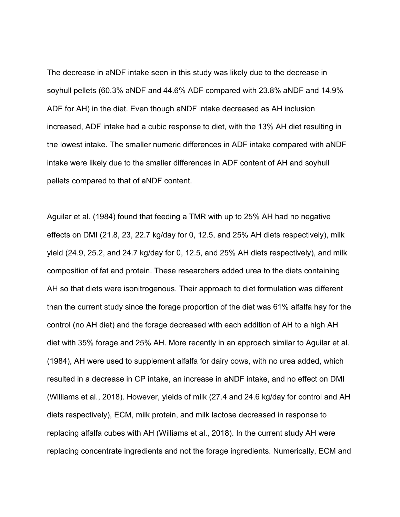The decrease in aNDF intake seen in this study was likely due to the decrease in soyhull pellets (60.3% aNDF and 44.6% ADF compared with 23.8% aNDF and 14.9% ADF for AH) in the diet. Even though aNDF intake decreased as AH inclusion increased, ADF intake had a cubic response to diet, with the 13% AH diet resulting in the lowest intake. The smaller numeric differences in ADF intake compared with aNDF intake were likely due to the smaller differences in ADF content of AH and soyhull pellets compared to that of aNDF content.

Aguilar et al. (1984) found that feeding a TMR with up to 25% AH had no negative effects on DMI (21.8, 23, 22.7 kg/day for 0, 12.5, and 25% AH diets respectively), milk yield (24.9, 25.2, and 24.7 kg/day for 0, 12.5, and 25% AH diets respectively), and milk composition of fat and protein. These researchers added urea to the diets containing AH so that diets were isonitrogenous. Their approach to diet formulation was different than the current study since the forage proportion of the diet was 61% alfalfa hay for the control (no AH diet) and the forage decreased with each addition of AH to a high AH diet with 35% forage and 25% AH. More recently in an approach similar to Aguilar et al. (1984), AH were used to supplement alfalfa for dairy cows, with no urea added, which resulted in a decrease in CP intake, an increase in aNDF intake, and no effect on DMI (Williams et al., 2018). However, yields of milk (27.4 and 24.6 kg/day for control and AH diets respectively), ECM, milk protein, and milk lactose decreased in response to replacing alfalfa cubes with AH (Williams et al., 2018). In the current study AH were replacing concentrate ingredients and not the forage ingredients. Numerically, ECM and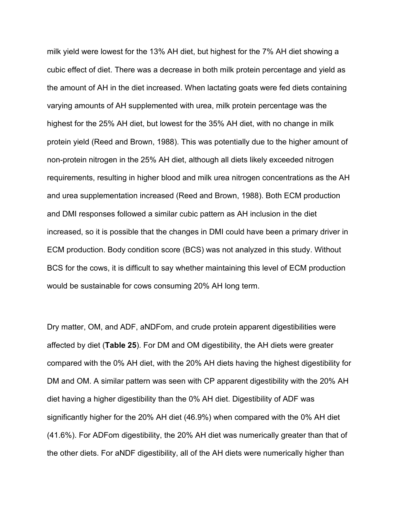milk yield were lowest for the 13% AH diet, but highest for the 7% AH diet showing a cubic effect of diet. There was a decrease in both milk protein percentage and yield as the amount of AH in the diet increased. When lactating goats were fed diets containing varying amounts of AH supplemented with urea, milk protein percentage was the highest for the 25% AH diet, but lowest for the 35% AH diet, with no change in milk protein yield (Reed and Brown, 1988). This was potentially due to the higher amount of non-protein nitrogen in the 25% AH diet, although all diets likely exceeded nitrogen requirements, resulting in higher blood and milk urea nitrogen concentrations as the AH and urea supplementation increased (Reed and Brown, 1988). Both ECM production and DMI responses followed a similar cubic pattern as AH inclusion in the diet increased, so it is possible that the changes in DMI could have been a primary driver in ECM production. Body condition score (BCS) was not analyzed in this study. Without BCS for the cows, it is difficult to say whether maintaining this level of ECM production would be sustainable for cows consuming 20% AH long term.

Dry matter, OM, and ADF, aNDFom, and crude protein apparent digestibilities were affected by diet (**Table 25**). For DM and OM digestibility, the AH diets were greater compared with the 0% AH diet, with the 20% AH diets having the highest digestibility for DM and OM. A similar pattern was seen with CP apparent digestibility with the 20% AH diet having a higher digestibility than the 0% AH diet. Digestibility of ADF was significantly higher for the 20% AH diet (46.9%) when compared with the 0% AH diet (41.6%). For ADFom digestibility, the 20% AH diet was numerically greater than that of the other diets. For aNDF digestibility, all of the AH diets were numerically higher than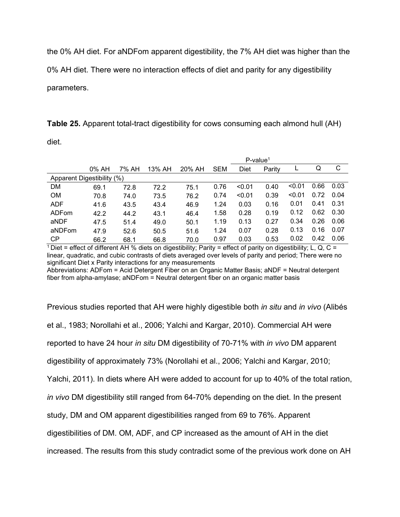the 0% AH diet. For aNDFom apparent digestibility, the 7% AH diet was higher than the

0% AH diet. There were no interaction effects of diet and parity for any digestibility

parameters.

**Table 25.** Apparent total-tract digestibility for cows consuming each almond hull (AH)

diet.

|                            | $P$ -value <sup>1</sup> |       |        |        |            |        |        |        |      |      |
|----------------------------|-------------------------|-------|--------|--------|------------|--------|--------|--------|------|------|
|                            | 0% AH                   | 7% AH | 13% AH | 20% AH | <b>SEM</b> | Diet   | Parity |        | Q    | С    |
| Apparent Digestibility (%) |                         |       |        |        |            |        |        |        |      |      |
| DM                         | 69.1                    | 72.8  | 72.2   | 75.1   | 0.76       | < 0.01 | 0.40   | < 0.01 | 0.66 | 0.03 |
| <b>OM</b>                  | 70.8                    | 74.0  | 73.5   | 76.2   | 0.74       | < 0.01 | 0.39   | < 0.01 | 0.72 | 0.04 |
| <b>ADF</b>                 | 41.6                    | 43.5  | 43.4   | 46.9   | 1.24       | 0.03   | 0.16   | 0.01   | 0.41 | 0.31 |
| ADFom                      | 42.2                    | 44.2  | 43.1   | 46.4   | 1.58       | 0.28   | 0.19   | 0.12   | 0.62 | 0.30 |
| aNDF                       | 47.5                    | 51.4  | 49.0   | 50.1   | 1.19       | 0.13   | 0.27   | 0.34   | 0.26 | 0.06 |
| aNDFom                     | 47.9                    | 52.6  | 50.5   | 51.6   | 1.24       | 0.07   | 0.28   | 0.13   | 0.16 | 0.07 |
| СP                         | 66.2                    | 68.1  | 66.8   | 70.0   | 0.97       | 0.03   | 0.53   | 0.02   | 0.42 | 0.06 |

 $1$  Diet = effect of different AH % diets on digestibility; Parity = effect of parity on digestibility; L, Q, C = linear, quadratic, and cubic contrasts of diets averaged over levels of parity and period; There were no significant Diet x Parity interactions for any measurements

Abbreviations: ADFom = Acid Detergent Fiber on an Organic Matter Basis; aNDF = Neutral detergent fiber from alpha-amylase; aNDFom = Neutral detergent fiber on an organic matter basis

Previous studies reported that AH were highly digestible both *in situ* and *in vivo* (Alibés et al., 1983; Norollahi et al., 2006; Yalchi and Kargar, 2010). Commercial AH were reported to have 24 hour *in situ* DM digestibility of 70-71% with *in vivo* DM apparent digestibility of approximately 73% (Norollahi et al., 2006; Yalchi and Kargar, 2010; Yalchi, 2011). In diets where AH were added to account for up to 40% of the total ration, *in vivo* DM digestibility still ranged from 64-70% depending on the diet. In the present study, DM and OM apparent digestibilities ranged from 69 to 76%. Apparent digestibilities of DM. OM, ADF, and CP increased as the amount of AH in the diet increased. The results from this study contradict some of the previous work done on AH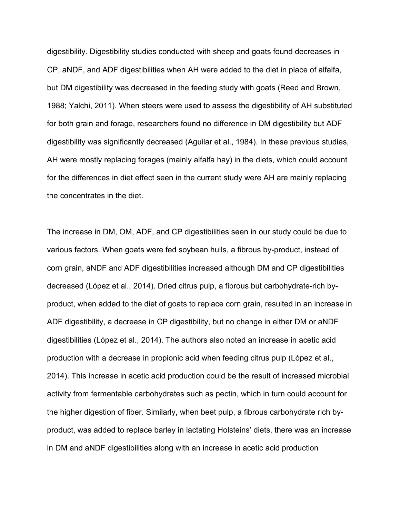digestibility. Digestibility studies conducted with sheep and goats found decreases in CP, aNDF, and ADF digestibilities when AH were added to the diet in place of alfalfa, but DM digestibility was decreased in the feeding study with goats (Reed and Brown, 1988; Yalchi, 2011). When steers were used to assess the digestibility of AH substituted for both grain and forage, researchers found no difference in DM digestibility but ADF digestibility was significantly decreased (Aguilar et al., 1984). In these previous studies, AH were mostly replacing forages (mainly alfalfa hay) in the diets, which could account for the differences in diet effect seen in the current study were AH are mainly replacing the concentrates in the diet.

The increase in DM, OM, ADF, and CP digestibilities seen in our study could be due to various factors. When goats were fed soybean hulls, a fibrous by-product, instead of corn grain, aNDF and ADF digestibilities increased although DM and CP digestibilities decreased (López et al., 2014). Dried citrus pulp, a fibrous but carbohydrate-rich byproduct, when added to the diet of goats to replace corn grain, resulted in an increase in ADF digestibility, a decrease in CP digestibility, but no change in either DM or aNDF digestibilities (López et al., 2014). The authors also noted an increase in acetic acid production with a decrease in propionic acid when feeding citrus pulp (López et al., 2014). This increase in acetic acid production could be the result of increased microbial activity from fermentable carbohydrates such as pectin, which in turn could account for the higher digestion of fiber. Similarly, when beet pulp, a fibrous carbohydrate rich byproduct, was added to replace barley in lactating Holsteins' diets, there was an increase in DM and aNDF digestibilities along with an increase in acetic acid production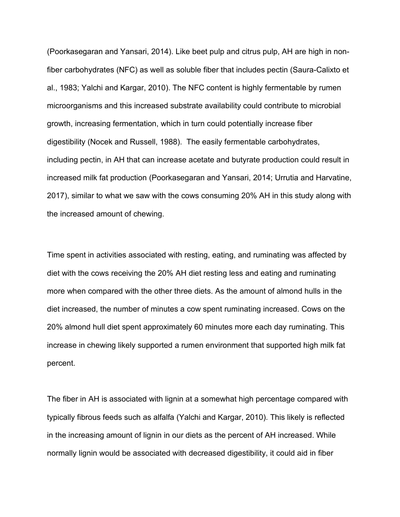(Poorkasegaran and Yansari, 2014). Like beet pulp and citrus pulp, AH are high in nonfiber carbohydrates (NFC) as well as soluble fiber that includes pectin (Saura-Calixto et al., 1983; Yalchi and Kargar, 2010). The NFC content is highly fermentable by rumen microorganisms and this increased substrate availability could contribute to microbial growth, increasing fermentation, which in turn could potentially increase fiber digestibility (Nocek and Russell, 1988). The easily fermentable carbohydrates, including pectin, in AH that can increase acetate and butyrate production could result in increased milk fat production (Poorkasegaran and Yansari, 2014; Urrutia and Harvatine, 2017), similar to what we saw with the cows consuming 20% AH in this study along with the increased amount of chewing.

Time spent in activities associated with resting, eating, and ruminating was affected by diet with the cows receiving the 20% AH diet resting less and eating and ruminating more when compared with the other three diets. As the amount of almond hulls in the diet increased, the number of minutes a cow spent ruminating increased. Cows on the 20% almond hull diet spent approximately 60 minutes more each day ruminating. This increase in chewing likely supported a rumen environment that supported high milk fat percent.

The fiber in AH is associated with lignin at a somewhat high percentage compared with typically fibrous feeds such as alfalfa (Yalchi and Kargar, 2010). This likely is reflected in the increasing amount of lignin in our diets as the percent of AH increased. While normally lignin would be associated with decreased digestibility, it could aid in fiber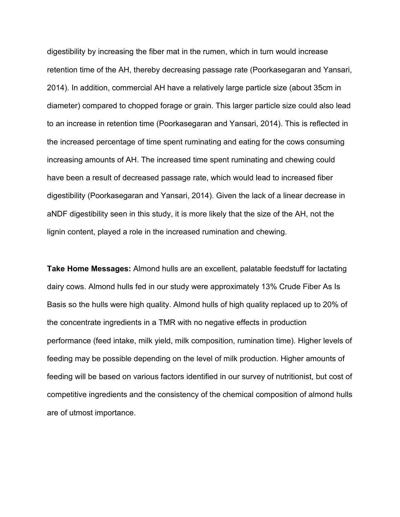digestibility by increasing the fiber mat in the rumen, which in turn would increase retention time of the AH, thereby decreasing passage rate (Poorkasegaran and Yansari, 2014). In addition, commercial AH have a relatively large particle size (about 35cm in diameter) compared to chopped forage or grain. This larger particle size could also lead to an increase in retention time (Poorkasegaran and Yansari, 2014). This is reflected in the increased percentage of time spent ruminating and eating for the cows consuming increasing amounts of AH. The increased time spent ruminating and chewing could have been a result of decreased passage rate, which would lead to increased fiber digestibility (Poorkasegaran and Yansari, 2014). Given the lack of a linear decrease in aNDF digestibility seen in this study, it is more likely that the size of the AH, not the lignin content, played a role in the increased rumination and chewing.

**Take Home Messages:** Almond hulls are an excellent, palatable feedstuff for lactating dairy cows. Almond hulls fed in our study were approximately 13% Crude Fiber As Is Basis so the hulls were high quality. Almond hulls of high quality replaced up to 20% of the concentrate ingredients in a TMR with no negative effects in production performance (feed intake, milk yield, milk composition, rumination time). Higher levels of feeding may be possible depending on the level of milk production. Higher amounts of feeding will be based on various factors identified in our survey of nutritionist, but cost of competitive ingredients and the consistency of the chemical composition of almond hulls are of utmost importance.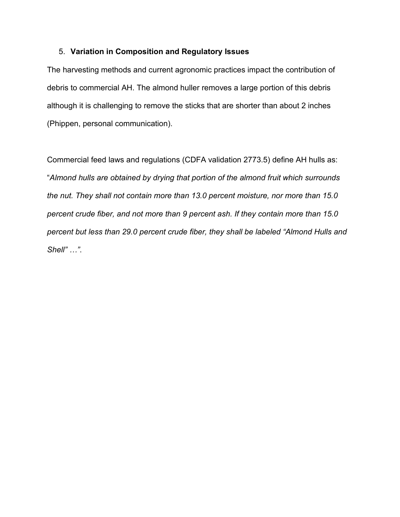# 5. **Variation in Composition and Regulatory Issues**

The harvesting methods and current agronomic practices impact the contribution of debris to commercial AH. The almond huller removes a large portion of this debris although it is challenging to remove the sticks that are shorter than about 2 inches (Phippen, personal communication).

Commercial feed laws and regulations (CDFA validation 2773.5) define AH hulls as: "*Almond hulls are obtained by drying that portion of the almond fruit which surrounds the nut. They shall not contain more than 13.0 percent moisture, nor more than 15.0 percent crude fiber, and not more than 9 percent ash. If they contain more than 15.0 percent but less than 29.0 percent crude fiber, they shall be labeled "Almond Hulls and Shell" …"*.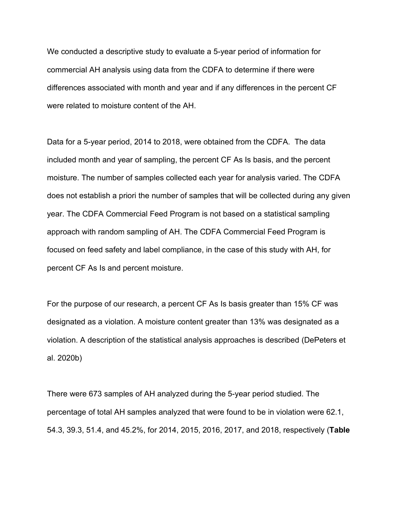We conducted a descriptive study to evaluate a 5-year period of information for commercial AH analysis using data from the CDFA to determine if there were differences associated with month and year and if any differences in the percent CF were related to moisture content of the AH.

Data for a 5-year period, 2014 to 2018, were obtained from the CDFA. The data included month and year of sampling, the percent CF As Is basis, and the percent moisture. The number of samples collected each year for analysis varied. The CDFA does not establish a priori the number of samples that will be collected during any given year. The CDFA Commercial Feed Program is not based on a statistical sampling approach with random sampling of AH. The CDFA Commercial Feed Program is focused on feed safety and label compliance, in the case of this study with AH, for percent CF As Is and percent moisture.

For the purpose of our research, a percent CF As Is basis greater than 15% CF was designated as a violation. A moisture content greater than 13% was designated as a violation. A description of the statistical analysis approaches is described (DePeters et al. 2020b)

There were 673 samples of AH analyzed during the 5-year period studied. The percentage of total AH samples analyzed that were found to be in violation were 62.1, 54.3, 39.3, 51.4, and 45.2%, for 2014, 2015, 2016, 2017, and 2018, respectively (**Table**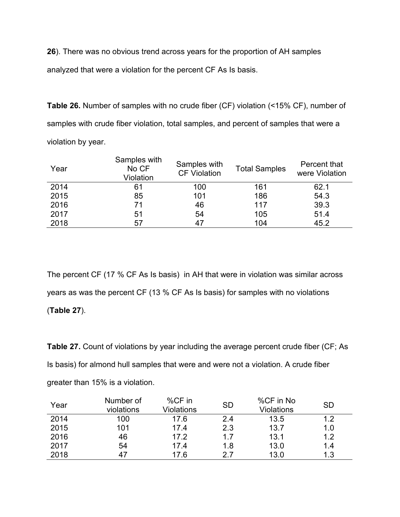**26**). There was no obvious trend across years for the proportion of AH samples analyzed that were a violation for the percent CF As Is basis.

**Table 26.** Number of samples with no crude fiber (CF) violation (<15% CF), number of samples with crude fiber violation, total samples, and percent of samples that were a violation by year.

| Year | Samples with<br>No CF<br>Violation | Samples with<br><b>CF Violation</b> | <b>Total Samples</b> | Percent that<br>were Violation |
|------|------------------------------------|-------------------------------------|----------------------|--------------------------------|
| 2014 | 61                                 | 100                                 | 161                  | 62.1                           |
| 2015 | 85                                 | 101                                 | 186                  | 54.3                           |
| 2016 | 71                                 | 46                                  | 117                  | 39.3                           |
| 2017 | 51                                 | 54                                  | 105                  | 51.4                           |
| 2018 | 57                                 |                                     | 104                  | 45.2                           |

The percent CF (17 % CF As Is basis) in AH that were in violation was similar across years as was the percent CF (13 % CF As Is basis) for samples with no violations (**Table 27**).

**Table 27.** Count of violations by year including the average percent crude fiber (CF; As Is basis) for almond hull samples that were and were not a violation. A crude fiber greater than 15% is a violation.

| Year | Number of<br>violations | %CF in<br>Violations | <b>SD</b> | %CF in No<br>Violations | <b>SD</b> |
|------|-------------------------|----------------------|-----------|-------------------------|-----------|
| 2014 | 100                     | 17.6                 | 2.4       | 13.5                    | 1.2       |
| 2015 | 101                     | 17.4                 | 2.3       | 13.7                    | 1.0       |
| 2016 | 46                      | 17.2                 | 1.7       | 13.1                    | 1.2       |
| 2017 | 54                      | 17.4                 | 1.8       | 13.0                    | 1.4       |
| 2018 | 47                      | 17.6                 | 27        | 13.0                    | 1.3       |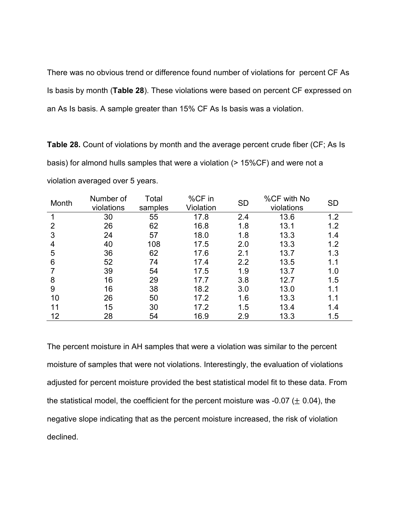There was no obvious trend or difference found number of violations for percent CF As Is basis by month (**Table 28**). These violations were based on percent CF expressed on an As Is basis. A sample greater than 15% CF As Is basis was a violation.

**Table 28.** Count of violations by month and the average percent crude fiber (CF; As Is basis) for almond hulls samples that were a violation (> 15%CF) and were not a violation averaged over 5 years.

| Month          | Number of  | Total   | %CF in    | <b>SD</b> | %CF with No | <b>SD</b> |
|----------------|------------|---------|-----------|-----------|-------------|-----------|
|                | violations | samples | Violation |           | violations  |           |
|                | 30         | 55      | 17.8      | 2.4       | 13.6        | 1.2       |
| $\overline{2}$ | 26         | 62      | 16.8      | 1.8       | 13.1        | 1.2       |
| 3              | 24         | 57      | 18.0      | 1.8       | 13.3        | 1.4       |
| 4              | 40         | 108     | 17.5      | 2.0       | 13.3        | 1.2       |
| 5              | 36         | 62      | 17.6      | 2.1       | 13.7        | 1.3       |
| 6              | 52         | 74      | 17.4      | 2.2       | 13.5        | 1.1       |
|                | 39         | 54      | 17.5      | 1.9       | 13.7        | 1.0       |
| 8              | 16         | 29      | 17.7      | 3.8       | 12.7        | 1.5       |
| 9              | 16         | 38      | 18.2      | 3.0       | 13.0        | 1.1       |
| 10             | 26         | 50      | 17.2      | 1.6       | 13.3        | 1.1       |
| 11             | 15         | 30      | 17.2      | 1.5       | 13.4        | 1.4       |
| 12             | 28         | 54      | 16.9      | 2.9       | 13.3        | 1.5       |

The percent moisture in AH samples that were a violation was similar to the percent moisture of samples that were not violations. Interestingly, the evaluation of violations adjusted for percent moisture provided the best statistical model fit to these data. From the statistical model, the coefficient for the percent moisture was -0.07 ( $\pm$  0.04), the negative slope indicating that as the percent moisture increased, the risk of violation declined.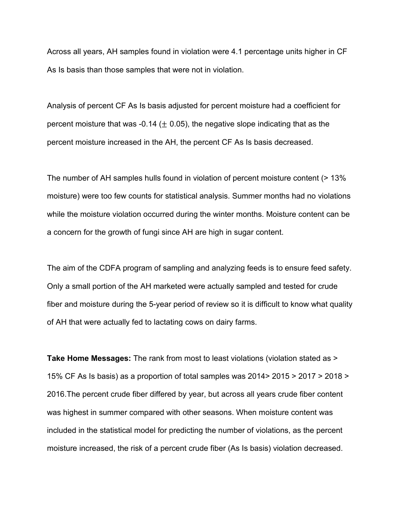Across all years, AH samples found in violation were 4.1 percentage units higher in CF As Is basis than those samples that were not in violation.

Analysis of percent CF As Is basis adjusted for percent moisture had a coefficient for percent moisture that was -0.14 ( $\pm$  0.05), the negative slope indicating that as the percent moisture increased in the AH, the percent CF As Is basis decreased.

The number of AH samples hulls found in violation of percent moisture content (> 13% moisture) were too few counts for statistical analysis. Summer months had no violations while the moisture violation occurred during the winter months. Moisture content can be a concern for the growth of fungi since AH are high in sugar content.

The aim of the CDFA program of sampling and analyzing feeds is to ensure feed safety. Only a small portion of the AH marketed were actually sampled and tested for crude fiber and moisture during the 5-year period of review so it is difficult to know what quality of AH that were actually fed to lactating cows on dairy farms.

**Take Home Messages:** The rank from most to least violations (violation stated as > 15% CF As Is basis) as a proportion of total samples was 2014> 2015 > 2017 > 2018 > 2016.The percent crude fiber differed by year, but across all years crude fiber content was highest in summer compared with other seasons. When moisture content was included in the statistical model for predicting the number of violations, as the percent moisture increased, the risk of a percent crude fiber (As Is basis) violation decreased.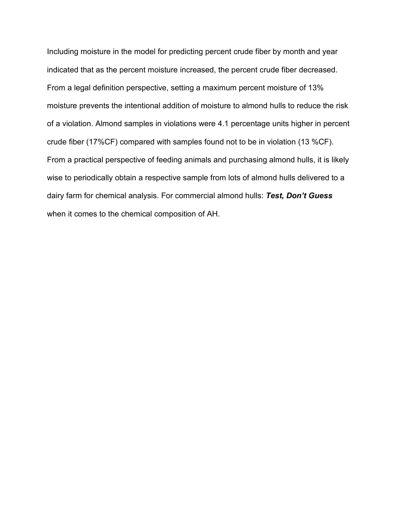Including moisture in the model for predicting percent crude fiber by month and year indicated that as the percent moisture increased, the percent crude fiber decreased. From a legal definition perspective, setting a maximum percent moisture of 13% moisture prevents the intentional addition of moisture to almond hulls to reduce the risk of a violation. Almond samples in violations were 4.1 percentage units higher in percent crude fiber (17%CF) compared with samples found not to be in violation (13 %CF). From a practical perspective of feeding animals and purchasing almond hulls, it is likely wise to periodically obtain a respective sample from lots of almond hulls delivered to a dairy farm for chemical analysis. For commercial almond hulls: *Test, Don't Guess* when it comes to the chemical composition of AH.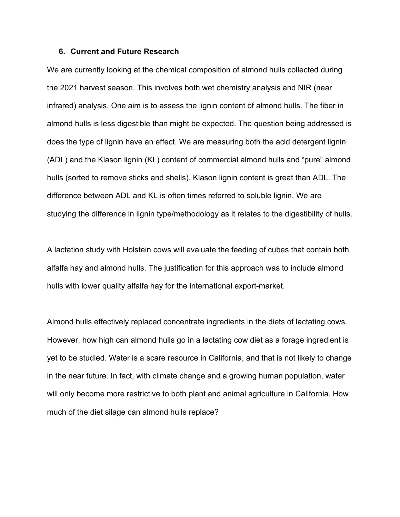### **6. Current and Future Research**

We are currently looking at the chemical composition of almond hulls collected during the 2021 harvest season. This involves both wet chemistry analysis and NIR (near infrared) analysis. One aim is to assess the lignin content of almond hulls. The fiber in almond hulls is less digestible than might be expected. The question being addressed is does the type of lignin have an effect. We are measuring both the acid detergent lignin (ADL) and the Klason lignin (KL) content of commercial almond hulls and "pure" almond hulls (sorted to remove sticks and shells). Klason lignin content is great than ADL. The difference between ADL and KL is often times referred to soluble lignin. We are studying the difference in lignin type/methodology as it relates to the digestibility of hulls.

A lactation study with Holstein cows will evaluate the feeding of cubes that contain both alfalfa hay and almond hulls. The justification for this approach was to include almond hulls with lower quality alfalfa hay for the international export-market.

Almond hulls effectively replaced concentrate ingredients in the diets of lactating cows. However, how high can almond hulls go in a lactating cow diet as a forage ingredient is yet to be studied. Water is a scare resource in California, and that is not likely to change in the near future. In fact, with climate change and a growing human population, water will only become more restrictive to both plant and animal agriculture in California. How much of the diet silage can almond hulls replace?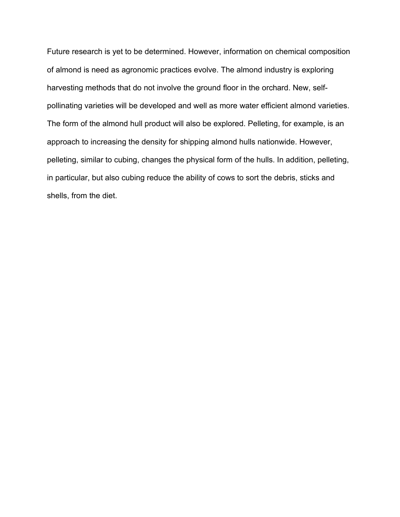Future research is yet to be determined. However, information on chemical composition of almond is need as agronomic practices evolve. The almond industry is exploring harvesting methods that do not involve the ground floor in the orchard. New, selfpollinating varieties will be developed and well as more water efficient almond varieties. The form of the almond hull product will also be explored. Pelleting, for example, is an approach to increasing the density for shipping almond hulls nationwide. However, pelleting, similar to cubing, changes the physical form of the hulls. In addition, pelleting, in particular, but also cubing reduce the ability of cows to sort the debris, sticks and shells, from the diet.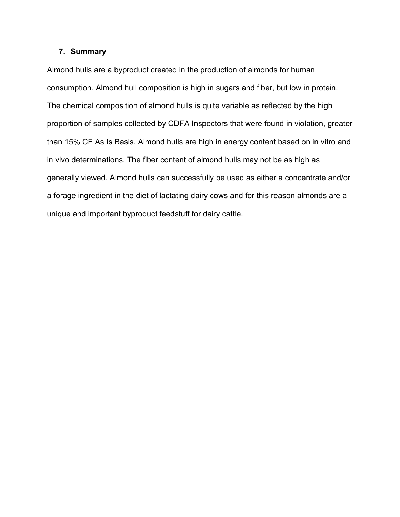# **7. Summary**

Almond hulls are a byproduct created in the production of almonds for human consumption. Almond hull composition is high in sugars and fiber, but low in protein. The chemical composition of almond hulls is quite variable as reflected by the high proportion of samples collected by CDFA Inspectors that were found in violation, greater than 15% CF As Is Basis. Almond hulls are high in energy content based on in vitro and in vivo determinations. The fiber content of almond hulls may not be as high as generally viewed. Almond hulls can successfully be used as either a concentrate and/or a forage ingredient in the diet of lactating dairy cows and for this reason almonds are a unique and important byproduct feedstuff for dairy cattle.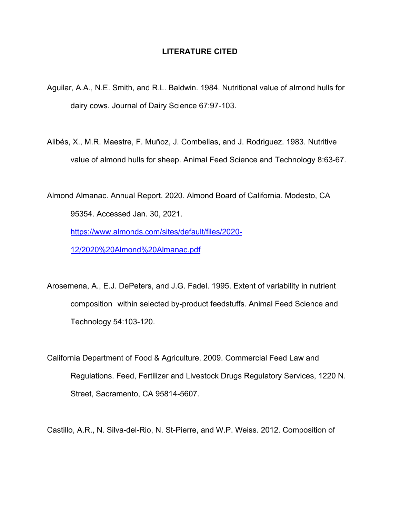# **LITERATURE CITED**

- Aguilar, A.A., N.E. Smith, and R.L. Baldwin. 1984. Nutritional value of almond hulls for dairy cows. Journal of Dairy Science 67:97-103.
- Alibés, X., M.R. Maestre, F. Muñoz, J. Combellas, and J. Rodriguez. 1983. Nutritive value of almond hulls for sheep. Animal Feed Science and Technology 8:63-67.

Almond Almanac. Annual Report. 2020. Almond Board of California. Modesto, CA 95354. Accessed Jan. 30, 2021. [https://www.almonds.com/sites/default/files/2020-](https://www.almonds.com/sites/default/files/2020-12/2020%20Almond%20Almanac.pdf) [12/2020%20Almond%20Almanac.pdf](https://www.almonds.com/sites/default/files/2020-12/2020%20Almond%20Almanac.pdf)

Arosemena, A., E.J. DePeters, and J.G. Fadel. 1995. Extent of variability in nutrient composition within selected by-product feedstuffs. Animal Feed Science and Technology 54:103-120.

California Department of Food & Agriculture. 2009. Commercial Feed Law and Regulations. Feed, Fertilizer and Livestock Drugs Regulatory Services, 1220 N. Street, Sacramento, CA 95814-5607.

Castillo, A.R., N. Silva-del-Rio, N. St-Pierre, and W.P. Weiss. 2012. Composition of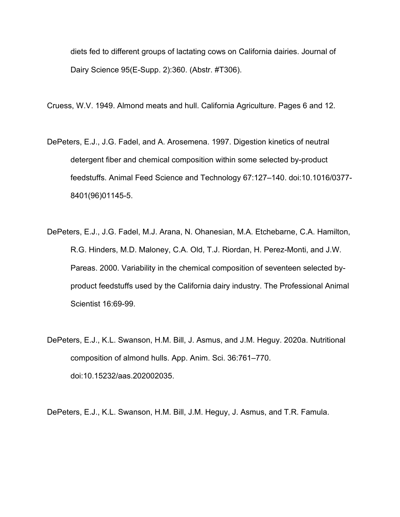diets fed to different groups of lactating cows on California dairies. Journal of Dairy Science 95(E-Supp. 2):360. (Abstr. #T306).

Cruess, W.V. 1949. Almond meats and hull. California Agriculture. Pages 6 and 12.

- DePeters, E.J., J.G. Fadel, and A. Arosemena. 1997. Digestion kinetics of neutral detergent fiber and chemical composition within some selected by-product feedstuffs. Animal Feed Science and Technology 67:127–140. doi:10.1016/0377- 8401(96)01145-5.
- DePeters, E.J., J.G. Fadel, M.J. Arana, N. Ohanesian, M.A. Etchebarne, C.A. Hamilton, R.G. Hinders, M.D. Maloney, C.A. Old, T.J. Riordan, H. Perez-Monti, and J.W. Pareas. 2000. Variability in the chemical composition of seventeen selected byproduct feedstuffs used by the California dairy industry. The Professional Animal Scientist 16:69-99.
- DePeters, E.J., K.L. Swanson, H.M. Bill, J. Asmus, and J.M. Heguy. 2020a. Nutritional composition of almond hulls. App. Anim. Sci. 36:761–770. doi:10.15232/aas.202002035.

DePeters, E.J., K.L. Swanson, H.M. Bill, J.M. Heguy, J. Asmus, and T.R. Famula.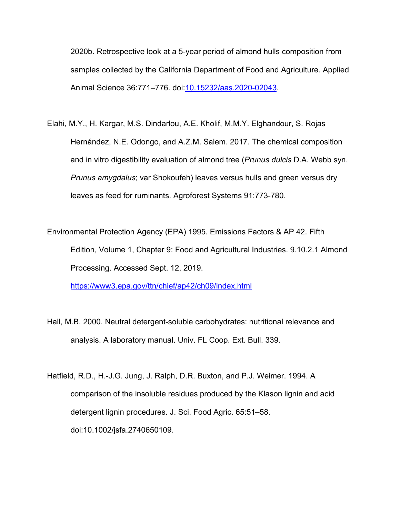2020b. Retrospective look at a 5-year period of almond hulls composition from samples collected by the California Department of Food and Agriculture. Applied Animal Science 36:771–776. doi[:10.15232/aas.2020-02043.](https://doi.org/10.15232/aas.2020-02043)

- Elahi, M.Y., H. Kargar, M.S. Dindarlou, A.E. Kholif, M.M.Y. Elghandour, S. Rojas Hernández, N.E. Odongo, and A.Z.M. Salem. 2017. The chemical composition and in vitro digestibility evaluation of almond tree (*Prunus dulcis* D.A. Webb syn. *Prunus amygdalus*; var Shokoufeh) leaves versus hulls and green versus dry leaves as feed for ruminants. Agroforest Systems 91:773-780.
- Environmental Protection Agency (EPA) 1995. Emissions Factors & AP 42. Fifth Edition, Volume 1, Chapter 9: Food and Agricultural Industries. 9.10.2.1 Almond Processing. Accessed Sept. 12, 2019.

[https://www3.epa.gov/ttn/chief/ap42/ch09/index.html](about:blank)

- Hall, M.B. 2000. Neutral detergent-soluble carbohydrates: nutritional relevance and analysis. A laboratory manual. Univ. FL Coop. Ext. Bull. 339.
- Hatfield, R.D., H.-J.G. Jung, J. Ralph, D.R. Buxton, and P.J. Weimer. 1994. A comparison of the insoluble residues produced by the Klason lignin and acid detergent lignin procedures. J. Sci. Food Agric. 65:51–58. doi:10.1002/jsfa.2740650109.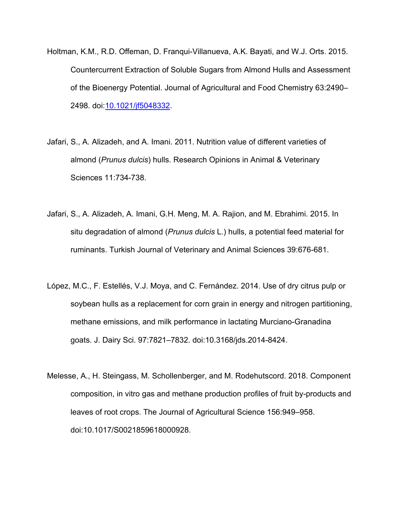- Holtman, K.M., R.D. Offeman, D. Franqui-Villanueva, A.K. Bayati, and W.J. Orts. 2015. Countercurrent Extraction of Soluble Sugars from Almond Hulls and Assessment of the Bioenergy Potential. Journal of Agricultural and Food Chemistry 63:2490– 2498. doi[:10.1021/jf5048332.](https://doi.org/10.1021/jf5048332)
- Jafari, S., A. Alizadeh, and A. Imani. 2011. Nutrition value of different varieties of almond (*Prunus dulcis*) hulls. Research Opinions in Animal & Veterinary Sciences 11:734-738.
- Jafari, S., A. Alizadeh, A. Imani, G.H. Meng, M. A. Rajion, and M. Ebrahimi. 2015. In situ degradation of almond (*Prunus dulcis* L.) hulls, a potential feed material for ruminants. Turkish Journal of Veterinary and Animal Sciences 39:676-681.
- López, M.C., F. Estellés, V.J. Moya, and C. Fernández. 2014. Use of dry citrus pulp or soybean hulls as a replacement for corn grain in energy and nitrogen partitioning, methane emissions, and milk performance in lactating Murciano-Granadina goats. J. Dairy Sci. 97:7821–7832. doi:10.3168/jds.2014-8424.
- Melesse, A., H. Steingass, M. Schollenberger, and M. Rodehutscord. 2018. Component composition, in vitro gas and methane production profiles of fruit by-products and leaves of root crops. The Journal of Agricultural Science 156:949–958. doi:10.1017/S0021859618000928.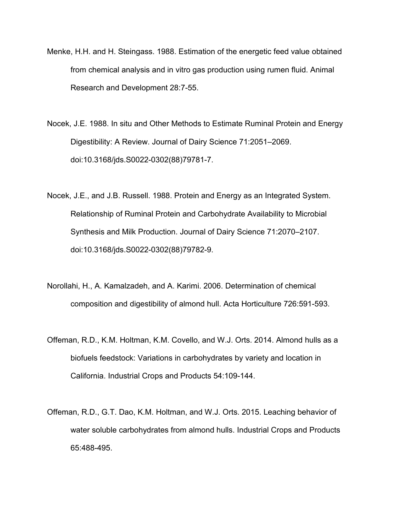- Menke, H.H. and H. Steingass. 1988. Estimation of the energetic feed value obtained from chemical analysis and in vitro gas production using rumen fluid. Animal Research and Development 28:7-55.
- Nocek, J.E. 1988. In situ and Other Methods to Estimate Ruminal Protein and Energy Digestibility: A Review. Journal of Dairy Science 71:2051–2069. doi:10.3168/jds.S0022-0302(88)79781-7.
- Nocek, J.E., and J.B. Russell. 1988. Protein and Energy as an Integrated System. Relationship of Ruminal Protein and Carbohydrate Availability to Microbial Synthesis and Milk Production. Journal of Dairy Science 71:2070–2107. doi:10.3168/jds.S0022-0302(88)79782-9.
- Norollahi, H., A. Kamalzadeh, and A. Karimi. 2006. Determination of chemical composition and digestibility of almond hull. Acta Horticulture 726:591-593.
- Offeman, R.D., K.M. Holtman, K.M. Covello, and W.J. Orts. 2014. Almond hulls as a biofuels feedstock: Variations in carbohydrates by variety and location in California. Industrial Crops and Products 54:109-144.
- Offeman, R.D., G.T. Dao, K.M. Holtman, and W.J. Orts. 2015. Leaching behavior of water soluble carbohydrates from almond hulls. Industrial Crops and Products 65:488-495.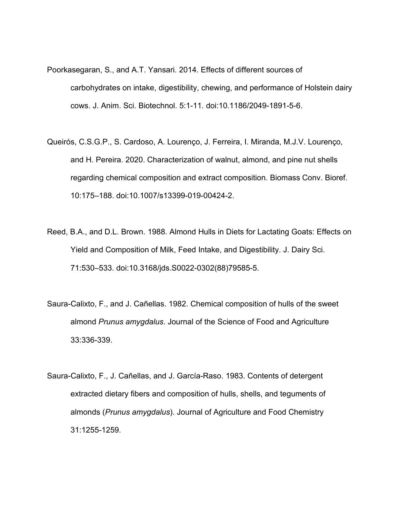- Poorkasegaran, S., and A.T. Yansari. 2014. Effects of different sources of carbohydrates on intake, digestibility, chewing, and performance of Holstein dairy cows. J. Anim. Sci. Biotechnol. 5:1-11. doi:10.1186/2049-1891-5-6.
- Queirós, C.S.G.P., S. Cardoso, A. Lourenço, J. Ferreira, I. Miranda, M.J.V. Lourenço, and H. Pereira. 2020. Characterization of walnut, almond, and pine nut shells regarding chemical composition and extract composition. Biomass Conv. Bioref. 10:175–188. doi:10.1007/s13399-019-00424-2.
- Reed, B.A., and D.L. Brown. 1988. Almond Hulls in Diets for Lactating Goats: Effects on Yield and Composition of Milk, Feed Intake, and Digestibility. J. Dairy Sci. 71:530–533. doi:10.3168/jds.S0022-0302(88)79585-5.
- Saura-Calixto, F., and J. Cañellas. 1982. Chemical composition of hulls of the sweet almond *Prunus amygdalus*. Journal of the Science of Food and Agriculture 33:336-339.
- Saura-Calixto, F., J. Cañellas, and J. García-Raso. 1983. Contents of detergent extracted dietary fibers and composition of hulls, shells, and teguments of almonds (*Prunus amygdalus*). Journal of Agriculture and Food Chemistry 31:1255-1259.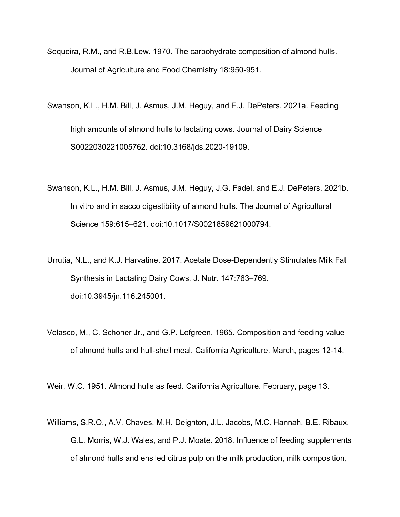- Sequeira, R.M., and R.B.Lew. 1970. The carbohydrate composition of almond hulls. Journal of Agriculture and Food Chemistry 18:950-951.
- Swanson, K.L., H.M. Bill, J. Asmus, J.M. Heguy, and E.J. DePeters. 2021a. Feeding high amounts of almond hulls to lactating cows. Journal of Dairy Science S0022030221005762. doi:10.3168/jds.2020-19109.
- Swanson, K.L., H.M. Bill, J. Asmus, J.M. Heguy, J.G. Fadel, and E.J. DePeters. 2021b. In vitro and in sacco digestibility of almond hulls. The Journal of Agricultural Science 159:615–621. doi:10.1017/S0021859621000794.
- Urrutia, N.L., and K.J. Harvatine. 2017. Acetate Dose-Dependently Stimulates Milk Fat Synthesis in Lactating Dairy Cows. J. Nutr. 147:763–769. doi:10.3945/jn.116.245001.
- Velasco, M., C. Schoner Jr., and G.P. Lofgreen. 1965. Composition and feeding value of almond hulls and hull-shell meal. California Agriculture. March, pages 12-14.

Weir, W.C. 1951. Almond hulls as feed. California Agriculture. February, page 13.

Williams, S.R.O., A.V. Chaves, M.H. Deighton, J.L. Jacobs, M.C. Hannah, B.E. Ribaux, G.L. Morris, W.J. Wales, and P.J. Moate. 2018. Influence of feeding supplements of almond hulls and ensiled citrus pulp on the milk production, milk composition,